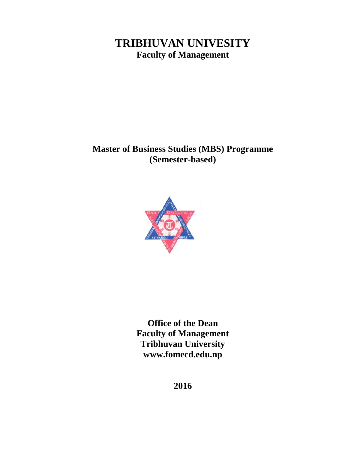# **TRIBHUVAN UNIVESITY Faculty of Management**

# **Master of Business Studies (MBS) Programme (Semester-based)**



**Office of the Dean Faculty of Management Tribhuvan University www.fomecd.edu.np**

**2016**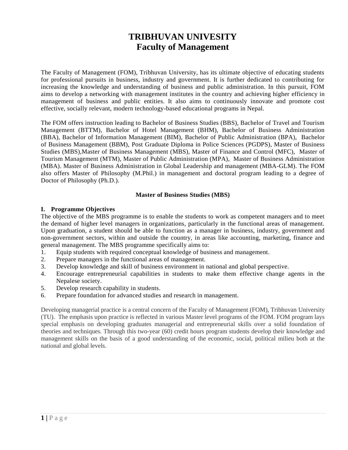# **TRIBHUVAN UNIVESITY Faculty of Management**

The Faculty of Management (FOM), Tribhuvan University, has its ultimate objective of educating students for professional pursuits in business, industry and government. It is further dedicated to contributing for increasing the knowledge and understanding of business and public administration. In this pursuit, FOM aims to develop a networking with management institutes in the country and achieving higher efficiency in management of business and public entities. It also aims to continuously innovate and promote cost effective, socially relevant, modern technology-based educational programs in Nepal.

The FOM offers instruction leading to Bachelor of Business Studies (BBS), Bachelor of Travel and Tourism Management (BTTM), Bachelor of Hotel Management (BHM), Bachelor of Business Administration (BBA), Bachelor of Information Management (BIM), Bachelor of Public Administration (BPA), Bachelor of Business Management (BBM), Post Graduate Diploma in Police Sciences (PGDPS), Master of Business Studies (MBS),Master of Business Management (MBS), Master of Finance and Control (MFC), Master of Tourism Management (MTM), Master of Public Administration (MPA), Master of Business Administration (MBA). Master of Business Administration in Global Leadership and management (MBA-GLM). The FOM also offers Master of Philosophy (M.Phil.) in management and doctoral program leading to a degree of Doctor of Philosophy (Ph.D.).

## **Master of Business Studies (MBS)**

## **I. Programme Objectives**

The objective of the MBS programme is to enable the students to work as competent managers and to meet the demand of higher level managers in organizations, particularly in the functional areas of management. Upon graduation, a student should be able to function as a manager in business, industry, government and non-government sectors, within and outside the country, in areas like accounting, marketing, finance and general management. The MBS programme specifically aims to:

- 1. Equip students with required conceptual knowledge of business and management.
- 2. Prepare managers in the functional areas of management.
- 3. Develop knowledge and skill of business environment in national and global perspective.
- 4. Encourage entrepreneurial capabilities in students to make them effective change agents in the Nepalese society.
- 5. Develop research capability in students.
- 6. Prepare foundation for advanced studies and research in management.

Developing managerial practice is a central concern of the Faculty of Management (FOM), Tribhuvan University (TU). The emphasis upon practice is reflected in various Master level programs of the FOM. FOM program lays special emphasis on developing graduates managerial and entrepreneurial skills over a solid foundation of theories and techniques. Through this two-year (60) credit hours program students develop their knowledge and management skills on the basis of a good understanding of the economic, social, political milieu both at the national and global levels.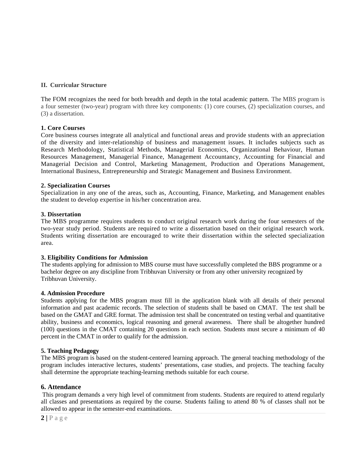## **II. Curricular Structure**

The FOM recognizes the need for both breadth and depth in the total academic pattern. The MBS program is a four semester (two-year) program with three key components: (1) core courses, (2) specialization courses, and (3) a dissertation.

## **1. Core Courses**

Core business courses integrate all analytical and functional areas and provide students with an appreciation of the diversity and inter-relationship of business and management issues. It includes subjects such as Research Methodology, Statistical Methods, Managerial Economics, Organizational Behaviour, Human Resources Management, Managerial Finance, Management Accountancy, Accounting for Financial and Managerial Decision and Control, Marketing Management, Production and Operations Management, International Business, Entrepreneurship and Strategic Management and Business Environment.

## **2. Specialization Courses**

Specialization in any one of the areas, such as, Accounting, Finance, Marketing, and Management enables the student to develop expertise in his/her concentration area.

## **3. Dissertation**

The MBS programme requires students to conduct original research work during the four semesters of the two-year study period. Students are required to write a dissertation based on their original research work. Students writing dissertation are encouraged to write their dissertation within the selected specialization area.

## **3. Eligibility Conditions for Admission**

The students applying for admission to MBS course must have successfully completed the BBS programme or a bachelor degree on any discipline from Tribhuvan University or from any other university recognized by Tribhuvan University.

## **4. Admission Procedure**

Students applying for the MBS program must fill in the application blank with all details of their personal information and past academic records. The selection of students shall be based on CMAT. The test shall be based on the GMAT and GRE format. The admission test shall be concentrated on testing verbal and quantitative ability, business and economics, logical reasoning and general awareness. There shall be altogether hundred (100) questions in the CMAT containing 20 questions in each section. Students must secure a minimum of 40 percent in the CMAT in order to qualify for the admission.

## **5. Teaching Pedagogy**

The MBS program is based on the student-centered learning approach. The general teaching methodology of the program includes interactive lectures, students' presentations, case studies, and projects. The teaching faculty shall determine the appropriate teaching-learning methods suitable for each course.

## **6. Attendance**

**6. Attendance**<br>This program demail classes and presallowed to appear in  $2 | P a g e$ This program demands a very high level of commitment from students. Students are required to attend regularly all classes and presentations as required by the course. Students failing to attend 80 % of classes shall not be allowed to appear in the semester-end examinations.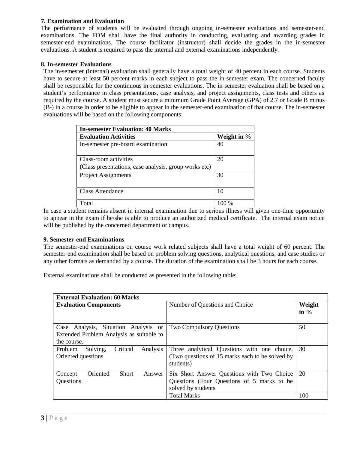## **7. Examination and Evaluation**

The performance of students will be evaluated through ongoing in-semester evaluations and semester-end examinations. The FOM shall have the final authority in conducting, evaluating and awarding grades in semester-end examinations. The course facilitator (instructor) shall decide the grades in the in-semester evaluations. A student is required to pass the internal and external examinations independently.

## **8. In-semester Evaluations**

The in-semester (internal) evaluation shall generally have a total weight of 40 percent in each course. Students have to secure at least 50 percent marks in each subject to pass the in-semester exam. The concerned faculty shall be responsible for the continuous in-semester evaluations. The in-semester evaluation shall be based on a student's performance in class presentations, case analysis, and project assignments, class tests and others as required by the course. A student must secure a minimum Grade Point Average (GPA) of 2.7 or Grade B minus (B-) in a course in order to be eligible to appear in the semester-end examination of that course. The in-semester evaluations will be based on the following components:

| <b>In-semester Evaluation: 40 Marks</b>               |             |  |  |
|-------------------------------------------------------|-------------|--|--|
| <b>Evaluation Activities</b>                          | Weight in % |  |  |
| In-semester pre-board examination                     | 40          |  |  |
| Class-room activities                                 | 20          |  |  |
| (Class presentations, case analysis, group works etc) |             |  |  |
| <b>Project Assignments</b>                            | 30          |  |  |
| <b>Class Attendance</b>                               | 10          |  |  |
| Total                                                 |             |  |  |

In case a student remains absent in internal examination due to serious illness will given one-time opportunity to appear in the exam if he/she is able to produce an authorized medical certificate. The internal exam notice will be published by the concerned department or campus.

## **9. Semester-end Examinations**

The semester-end examinations on course work related subjects shall have a total weight of 60 percent. The semester-end examination shall be based on problem solving questions, analytical questions, and case studies or any other formats as demanded by a course. The duration of the examination shall be 3 hours for each course.

External examinations shall be conducted as presented in the following table:

| <b>Evaluation Components</b>                                                                    | Number of Questions and Choice                                                                                 |     |
|-------------------------------------------------------------------------------------------------|----------------------------------------------------------------------------------------------------------------|-----|
| Case Analysis, Situation Analysis or<br>Extended Problem Analysis as suitable to<br>the course. | <b>Two Compulsory Questions</b>                                                                                | 50  |
| Critical<br>Solving,<br>Analysis<br>Problem<br>Oriented questions                               | Three analytical Questions with one choice.<br>(Two questions of 15 marks each to be solved by<br>students)    | 30  |
| Oriented<br>Concept<br><b>Short</b><br>Answer<br>Questions                                      | Six Short Answer Questions with Two Choice<br>Questions (Four Questions of 5 marks to be<br>solved by students | 20  |
|                                                                                                 | <b>Total Marks</b>                                                                                             | 100 |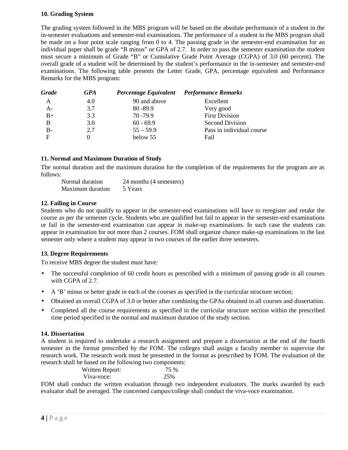## **10. Grading System**

The grading system followed in the MBS program will be based on the absolute performance of a student in the in-semester evaluations and semester-end examinations. The performance of a student in the MBS program shall be made on a four point scale ranging from 0 to 4. The passing grade in the semester-end examination for an individual paper shall be grade "B minus" or GPA of 2.7. In order to pass the semester examination the student must secure a minimum of Grade "B" or Cumulative Grade Point Average (CGPA) of 3.0 (60 percent). The overall grade of a student will be determined by the student's performance in the in-semester and semester-end examinations. The following table presents the Letter Grade, GPA, percentage equivalent and Performance Remarks for the MBS program:

| Grade | GPA | Percentage Equivalent Performance Remarks |                           |
|-------|-----|-------------------------------------------|---------------------------|
| А     | 4.0 | 90 and above                              | Excellent                 |
| $A -$ | 3.7 | $80 - 89.9$                               | Very good                 |
| $B+$  | 3.3 | $70 - 79.9$                               | <b>First Division</b>     |
|       | 3.0 | $60 - 69.9$                               | Second Division           |
| $B -$ | 2.7 | $55 - 59.9$                               | Pass in individual course |
| F     | 0   | below 55                                  | Fail                      |

## **11. Normal and Maximum Duration of Study**

The normal duration and the maximum duration for the completion of the requirements for the program are as follows:

Normal duration 24 months (4 semesters) Maximum duration 5 Years

## **12. Failing in Course**

Students who do not qualify to appear in the semester-end examinations will have to reregister and retake the course as per the semester cycle. Students who are qualified but fail to appear in the semester-end examinations or fail in the semester-end examination can appear in make-up examinations. In such case the students can appear in examination for not more than 2 courses. FOM shall organize chance make-up examinations in the last semester only where a student may appear in two courses of the earlier three semesters.

## **13. Degree Requirements**

To receive MBS degree the student must have:

- The successful completion of 60 credit hours as prescribed with a minimum of passing grade in all courses with CGPA of 2.7.
- A 'B' minus or better grade in each of the courses as specified in the curricular structure section;
- Obtained an overall CGPA of 3.0 or better after combining the GPAs obtained in all courses and dissertation.
- Completed all the course requirements as specified in the curricular structure section within the prescribed time period specified in the normal and maximum duration of the study section.

#### **14. Dissertation**

A student is required to undertake a research assignment and prepare a dissertation at the end of the fourth semester in the format prescribed by the FOM. The colleges shall assign a faculty member to supervise the research work. The research work must be presented in the format as prescribed by FOM. The evaluation of the research shall be based on the following two components:

Written Report:  $75\%$ Viva-voce: 25%

**44 composed**<br>**4 |** P a g e<br>**4 |** P a g e FOM shall conduct the written evaluation through two independent evaluators. The marks awarded by each evaluator shall be averaged. The concerned campus/college shall conduct the viva-voce examination.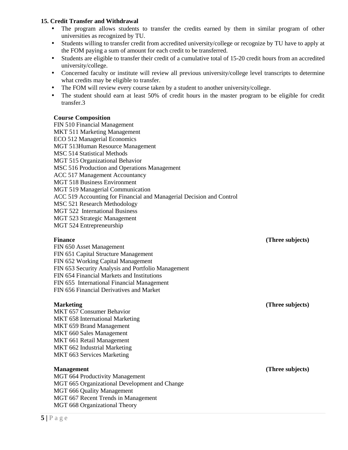## **15. Credit Transfer and Withdrawal**

- The program allows students to transfer the credits earned by them in similar program of other universities as recognized by TU.
- Students willing to transfer credit from accredited university/college or recognize by TU have to apply at the FOM paying a sum of amount for each credit to be transferred.
- Students are eligible to transfer their credit of a cumulative total of 15-20 credit hours from an accredited university/college.
- Concerned faculty or institute will review all previous university/college level transcripts to determine what credits may be eligible to transfer.
- The FOM will review every course taken by a student to another university/college.
- The student should earn at least 50% of credit hours in the master program to be eligible for credit transfer.3

#### **Course Composition**

FIN 510 Financial Management MKT 511 Marketing Management ECO 512 Managerial Economics MGT 513Human Resource Management MSC 514 Statistical Methods MGT 515 Organizational Behavior MSC 516 Production and Operations Management ACC 517 Management Accountancy MGT 518 Business Environment MGT 519 Managerial Communication ACC 519 Accounting for Financial and Managerial Decision and Control MSC 521 Research Methodology MGT 522 International Business MGT 523 Strategic Management MGT 524 Entrepreneurship

**Finance (Three subjects)**

FIN 650 Asset Management FIN 651 Capital Structure Management FIN 652 Working Capital Management FIN 653 Security Analysis and Portfolio Management FIN 654 Financial Markets and Institutions FIN 655 International Financial Management FIN 656 Financial Derivatives and Market

## **Marketing (Three subjects)**

MKT 657 Consumer Behavior MKT 658 International Marketing MKT 659 Brand Management MKT 660 Sales Management MKT 661 Retail Management MKT 662 Industrial Marketing MKT 663 Services Marketing

**MGT 664 Process MGT 665 Org<br>
<b>MGT 666 Qua**<br> **MGT 667 Rec<br>
MGT 668 Org<br>
5 | P a g e** MGT 664 Productivity Management MGT 665 Organizational Development and Change MGT 666 Quality Management MGT 667 Recent Trends in Management MGT 668 Organizational Theory

**Management (Three subjects)**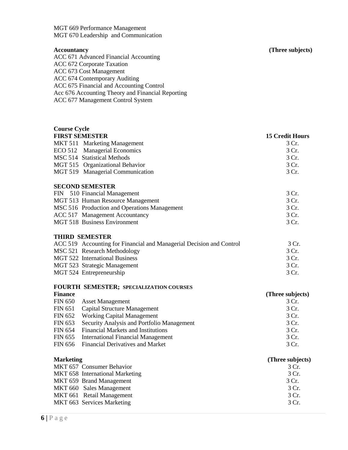MGT 669 Performance Management MGT 670 Leadership and Communication

**Course Cycle**

ACC 671 Advanced Financial Accounting ACC 672 Corporate Taxation ACC 673 Cost Management ACC 674 Contemporary Auditing ACC 675 Financial and Accounting Control Acc 676 Accounting Theory and Financial Reporting ACC 677 Management Control System

**Accountancy (Three subjects)**

## **FIRST SEMESTER 15 Credit Hours** MKT 511 Marketing Management 3 Cr. ECO 512 Managerial Economics 3 Cr. MSC 514 Statistical Methods 3 Cr. MGT 515 Organizational Behavior 3 Cr. MGT 519 Managerial Communication 3 Cr. **SECOND SEMESTER** FIN 510 Financial Management 3 Cr. MGT 513 Human Resource Management 3 Cr. MSC 516 Production and Operations Management 3 Cr. ACC 517 Management Accountancy 3 Cr. MGT 518 Business Environment 3 Cr. **THIRD SEMESTER** ACC 519 Accounting for Financial and Managerial Decision and Control 3 Cr. MSC 521 Research Methodology 3 Cr. MGT 522 International Business 3 Cr. MGT 523 Strategic Management 3 Cr. MGT 524 Entrepreneurship 3 Cr.

## **FOURTH SEMESTER; SPECIALIZATION COURSES**

| <b>Finance</b> |                                                    | (Three subjects) |
|----------------|----------------------------------------------------|------------------|
|                | FIN 650 Asset Management                           | 3 Cr.            |
|                | FIN 651 Capital Structure Management               | 3 Cr.            |
|                | FIN 652 Working Capital Management                 | 3 Cr.            |
|                | FIN 653 Security Analysis and Portfolio Management | 3 Cr.            |
|                | FIN 654 Financial Markets and Institutions         | 3 Cr.            |
|                | FIN 655 International Financial Management         | 3 Cr.            |
|                | FIN 656 Financial Derivatives and Market           | 3 Cr.            |

| <b>Marketing</b>                | (Three subjects) |
|---------------------------------|------------------|
| MKT 657 Consumer Behavior       | 3 Cr.            |
| MKT 658 International Marketing | 3 Cr.            |
| MKT 659 Brand Management        | 3 Cr.            |
| MKT 660 Sales Management        | 3 Cr.            |
| MKT 661 Retail Management       | 3 Cr.            |
| MKT 663 Services Marketing      | 3 Cr.            |
| $6 P$ a g e                     |                  |
|                                 |                  |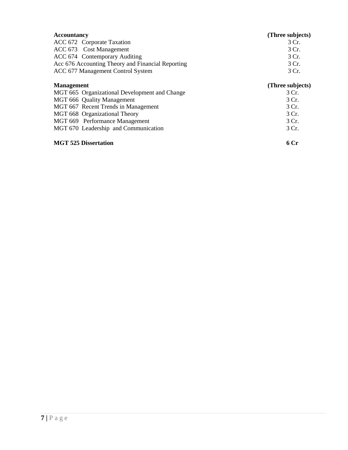| <b>Accountancy</b>                                | (Three subjects) |
|---------------------------------------------------|------------------|
| ACC 672 Corporate Taxation                        | 3 Cr.            |
| ACC 673 Cost Management                           | 3 Cr.            |
| ACC 674 Contemporary Auditing                     | 3 Cr.            |
| Acc 676 Accounting Theory and Financial Reporting | 3 Cr.            |
| ACC 677 Management Control System                 | 3 Cr.            |
| <b>Management</b>                                 | (Three subjects) |
| MGT 665 Organizational Development and Change     | 3 Cr.            |
| MGT 666 Quality Management                        | 3 Cr.            |
| MGT 667 Recent Trends in Management               | 3 Cr.            |
| MGT 668 Organizational Theory                     | 3 Cr.            |
| MGT 669 Performance Management                    | 3 Cr.            |
| MGT 670 Leadership and Communication              | 3 Cr.            |
| <b>MGT 525 Dissertation</b>                       | 6 Cr             |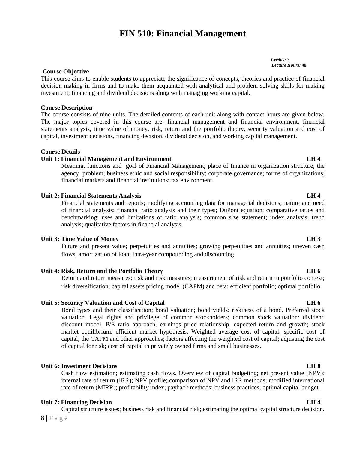# **FIN 510: Financial Management**

#### **Course Objective**

This course aims to enable students to appreciate the significance of concepts, theories and practice of financial decision making in firms and to make them acquainted with analytical and problem solving skills for making investment, financing and dividend decisions along with managing working capital.

#### **Course Description**

The course consists of nine units. The detailed contents of each unit along with contact hours are given below. The major topics covered in this course are: financial management and financial environment, financial statements analysis, time value of money, risk, return and the portfolio theory, security valuation and cost of capital, investment decisions, financing decision, dividend decision, and working capital management.

#### **Course Details**

#### **Unit 1: Financial Management and Environment LH 4**

Meaning, functions and goal of Financial Management; place of finance in organization structure; the agency problem; business ethic and social responsibility; corporate governance; forms of organizations; financial markets and financial institutions; tax environment.

#### **Unit 2: Financial Statements Analysis LH 4**

Financial statements and reports; modifying accounting data for managerial decisions; nature and need of financial analysis; financial ratio analysis and their types; DuPont equation; comparative ratios and benchmarking; uses and limitations of ratio analysis; common size statement; index analysis; trend analysis; qualitative factors in financial analysis.

#### **Unit 3: Time Value of Money LH 3**

Future and present value; perpetuities and annuities; growing perpetuities and annuities; uneven cash flows; amortization of loan; intra-year compounding and discounting.

## **Unit 4: Risk, Return and the Portfolio Theory LH 6**

Return and return measures; risk and risk measures; measurement of risk and return in portfolio context; risk diversification; capital assets pricing model (CAPM) and beta; efficient portfolio; optimal portfolio.

## **Unit 5: Security Valuation and Cost of Capital LH 6**

Bond types and their classification; bond valuation; bond yields; riskiness of a bond. Preferred stock valuation. Legal rights and privilege of common stockholders; common stock valuation: dividend discount model, P/E ratio approach, earnings price relationship, expected return and growth; stock market equilibrium; efficient market hypothesis. Weighted average cost of capital; specific cost of capital; the CAPM and other approaches; factors affecting the weighted cost of capital; adjusting the cost of capital for risk; cost of capital in privately owned firms and small businesses.

## **Unit 6: Investment Decisions LH 8**

# **8 |** P a g e Cash flow estimation; estimating cash flows. Overview of capital budgeting; net present value (NPV); internal rate of return (IRR); NPV profile; comparison of NPV and IRR methods; modified international rate of return (MIRR); profitability index; payback methods; business practices; optimal capital budget.

## **Unit 7: Financing Decision LH 4**

Capital structure issues; business risk and financial risk; estimating the optimal capital structure decision.

#### *Credits: 3 Lecture Hours: 48*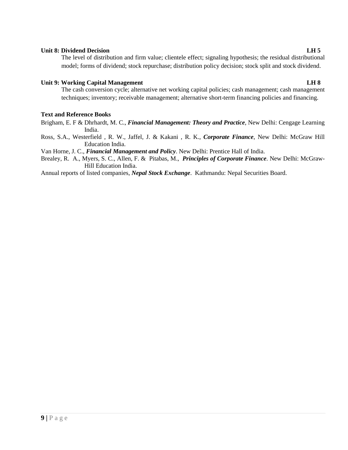#### **Unit 8: Dividend Decision LH 5**

The level of distribution and firm value; clientele effect; signaling hypothesis; the residual distributional model; forms of dividend; stock repurchase; distribution policy decision; stock split and stock dividend.

## **Unit 9: Working Capital Management LH 8**

The cash conversion cycle; alternative net working capital policies; cash management; cash management techniques; inventory; receivable management; alternative short-term financing policies and financing.

## **Text and Reference Books**

- Brigham, E. F & Dhrhardt, M. C., *Financial Management: Theory and Practice*, New Delhi: Cengage Learning India.
- Ross, S.A., Westerfield , R. W., Jaffel, J. & Kakani , R. K., *Corporate Finance*, New Delhi: McGraw Hill Education India.

Van Horne, J. C., *Financial Management and Policy*. New Delhi: Prentice Hall of India.

Brealey, R. A., Myers, S. C., Allen, F. & Pitabas, M., *Principles of Corporate Finance*. New Delhi: McGraw- Hill Education India.

Annual reports of listed companies, *Nepal Stock Exchange*. Kathmandu: Nepal Securities Board.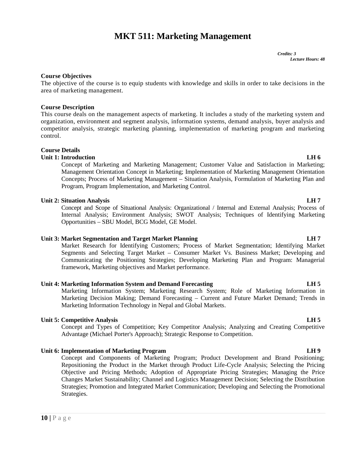# **MKT 511: Marketing Management**

#### **Course Objectives**

The objective of the course is to equip students with knowledge and skills in order to take decisions in the area of marketing management.

#### **Course Description**

This course deals on the management aspects of marketing. It includes a study of the marketing system and organization, environment and segment analysis, information systems, demand analysis, buyer analysis and competitor analysis, strategic marketing planning, implementation of marketing program and marketing control.

## **Course Details**

#### **Unit 1: Introduction LH 6**

Concept of Marketing and Marketing Management; Customer Value and Satisfaction in Marketing; Management Orientation Concept in Marketing; Implementation of Marketing Management Orientation Concepts; Process of Marketing Management – Situation Analysis, Formulation of Marketing Plan and Program, Program Implementation, and Marketing Control.

#### **Unit 2: Situation Analysis LH 7**

Concept and Scope of Situational Analysis: Organizational / Internal and External Analysis; Process of Internal Analysis; Environment Analysis; SWOT Analysis; Techniques of Identifying Marketing Opportunities – SBU Model, BCG Model, GE Model.

#### **Unit 3: Market Segmentation and Target Market Planning LH 7**

Market Research for Identifying Customers; Process of Market Segmentation; Identifying Market Segments and Selecting Target Market – Consumer Market Vs. Business Market; Developing and Communicating the Positioning Strategies; Developing Marketing Plan and Program: Managerial framework, Marketing objectives and Market performance.

## **Unit 4: Marketing Information System and Demand Forecasting LH 5**

Marketing Information System; Marketing Research System; Role of Marketing Information in Marketing Decision Making; Demand Forecasting – Current and Future Market Demand; Trends in Marketing Information Technology in Nepal and Global Markets.

#### **Unit 5: Competitive Analysis LH 5**

Concept and Types of Competition; Key Competitor Analysis; Analyzing and Creating Competitive Advantage (Michael Porter's Approach); Strategic Response to Competition.

## **Unit 6: Implementation of Marketing Program LH 9**

**10** Changes Ma<br> **10** Strategies.<br> **10** | P a g e Concept and Components of Marketing Program; Product Development and Brand Positioning; Repositioning the Product in the Market through Product Life-Cycle Analysis; Selecting the Pricing Objective and Pricing Methods; Adoption of Appropriate Pricing Strategies; Managing the Price Changes Market Sustainability; Channel and Logistics Management Decision; Selecting the Distribution Strategies; Promotion and Integrated Market Communication; Developing and Selecting the Promotional Strategies.

*Credits: 3*

*Lecture Hours: 48*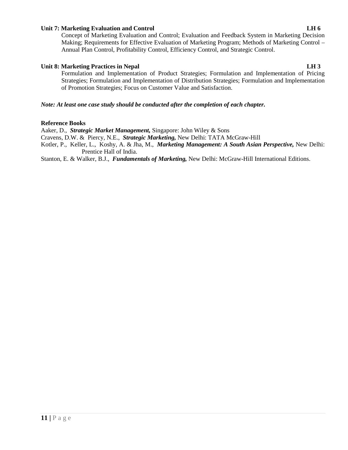## **Unit 7: Marketing Evaluation and Control LH 6**

Concept of Marketing Evaluation and Control; Evaluation and Feedback System in Marketing Decision Making; Requirements for Effective Evaluation of Marketing Program; Methods of Marketing Control – Annual Plan Control, Profitability Control, Efficiency Control, and Strategic Control.

## **Unit 8: Marketing Practices in Nepal LH 3**

Formulation and Implementation of Product Strategies; Formulation and Implementation of Pricing Strategies; Formulation and Implementation of Distribution Strategies; Formulation and Implementation of Promotion Strategies; Focus on Customer Value and Satisfaction.

## *Note: At least one case study should be conducted after the completion of each chapter.*

## **Reference Books**

Aaker, D., *Strategic Market Management,* Singapore: John Wiley & Sons

Cravens, D.W. & Piercy, N.E., *Strategic Marketing,* New Delhi: TATA McGraw-Hill

Kotler, P., Keller, L., Koshy, A. & Jha, M., *Marketing Management: A South Asian Perspective,* New Delhi: Prentice Hall of India.

Stanton, E. & Walker, B.J., *Fundamentals of Marketing,* New Delhi: McGraw-Hill International Editions.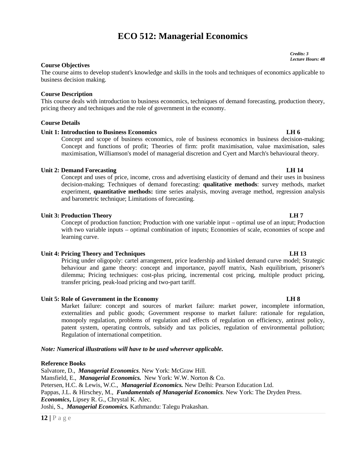# **ECO 512: Managerial Economics**

**Course Objectives**

The course aims to develop student's knowledge and skills in the tools and techniques of economics applicable to business decision making.

#### **Course Description**

This course deals with introduction to business economics, techniques of demand forecasting, production theory, pricing theory and techniques and the role of government in the economy.

#### **Course Details**

#### **Unit 1: Introduction to Business Economics LH 6**

Concept and scope of business economics, role of business economics in business decision-making; Concept and functions of profit; Theories of firm: profit maximisation, value maximisation, sales maximisation, Williamson's model of managerial discretion and Cyert and March's behavioural theory.

#### **Unit 2: Demand Forecasting LH 14**

Concept and uses of price, income, cross and advertising elasticity of demand and their uses in business decision-making; Techniques of demand forecasting: **qualitative methods**: survey methods, market experiment, **quantitative methods:** time series analysis, moving average method, regression analysis and barometric technique; Limitations of forecasting.

#### **Unit 3: Production Theory LH 7**

Concept of production function; Production with one variable input – optimal use of an input; Production with two variable inputs – optimal combination of inputs; Economies of scale, economies of scope and learning curve.

#### **Unit 4: Pricing Theory and Techniques LH 13**

Pricing under oligopoly: cartel arrangement, price leadership and kinked demand curve model; Strategic behaviour and game theory: concept and importance, payoff matrix, Nash equilibrium, prisoner's dilemma; Pricing techniques: cost-plus pricing, incremental cost pricing, multiple product pricing, transfer pricing, peak-load pricing and two-part tariff.

## **Unit 5: Role of Government in the Economy LH 8**

Market failure: concept and sources of market failure: market power, incomplete information, externalities and public goods; Government response to market failure: rationale for regulation, monopoly regulation, problems of regulation and effects of regulation on efficiency, antirust policy, patent system, operating controls, subsidy and tax policies, regulation of environmental pollution; Regulation of international competition.

#### *Note: Numerical illustrations will have to be used wherever applicable.*

#### **Reference Books**

Mansfield, E., *Mand*<br>Petersen, H.C. & Lev<br>Pappas, J.L. & Hirsci<br>*Economics*, Lipsey F<br>Joshi, S., *Managerid*<br>12 | P a g e Salvatore, D., *Managerial Economics.* New York: McGraw Hill. Mansfield, E., *Managerial Economics.* New York: W.W. Norton & Co. Petersen, H.C. & Lewis, W.C., *Managerial Economics.* New Delhi: Pearson Education Ltd. Pappas, J.L. & Hirschey, M., *Fundamentals of Managerial Economics.* New York: The Dryden Press. *Economics***,** Lipsey R. G., Chrystal K. Alec. Joshi, S., *Managerial Economics.* Kathmandu: Talegu Prakashan.

#### *Credits: 3 Lecture Hours: 48*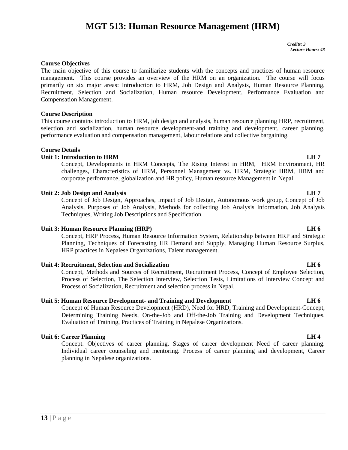# **MGT 513: Human Resource Management (HRM)**

*Credits: 3 Lecture Hours: 48*

## **Course Objectives**

The main objective of this course to familiarize students with the concepts and practices of human resource management. This course provides an overview of the HRM on an organization. The course will focus primarily on six major areas: Introduction to HRM, Job Design and Analysis, Human Resource Planning, Recruitment, Selection and Socialization, Human resource Development, Performance Evaluation and Compensation Management.

#### **Course Description**

This course contains introduction to HRM, job design and analysis, human resource planning HRP, recruitment, selection and socialization, human resource development-and training and development, career planning, performance evaluation and compensation management, labour relations and collective bargaining.

#### **Course Details**

#### **Unit 1: Introduction to HRM LH 7**

Concept, Developments in HRM Concepts, The Rising Interest in HRM, HRM Environment, HR challenges, Characteristics of HRM, Personnel Management vs. HRM, Strategic HRM, HRM and corporate performance, globalization and HR policy, Human resource Management in Nepal.

#### **Unit 2: Job Design and Analysis LH 7**

Concept of Job Design, Approaches, Impact of Job Design, Autonomous work group, Concept of Job Analysis, Purposes of Job Analysis, Methods for collecting Job Analysis Information, Job Analysis Techniques, Writing Job Descriptions and Specification.

## **Unit 3: Human Resource Planning (HRP) LH 6**

Concept, HRP Process, Human Resource Information System, Relationship between HRP and Strategic Planning, Techniques of Forecasting HR Demand and Supply, Managing Human Resource Surplus, HRP practices in Nepalese Organizations, Talent management.

#### **Unit 4: Recruitment, Selection and Socialization LH 6**

Concept, Methods and Sources of Recruitment, Recruitment Process, Concept of Employee Selection, Process of Selection, The Selection Interview, Selection Tests, Limitations of Interview Concept and Process of Socialization, Recruitment and selection process in Nepal.

#### **Unit 5: Human Resource Development- and Training and Development LH 6**

Concept of Human Resource Development (HRD), Need for HRD, Training and Development-Concept, Determining Training Needs, On-the-Job and Off-the-Job Training and Development Techniques, Evaluation of Training, Practices of Training in Nepalese Organizations.

## **Unit 6: Career Planning LH 4**

Concept. Objectives of career planning. Stages of career development Need of career planning. Individual career counseling and mentoring. Process of career planning and development, Career planning in Nepalese organizations.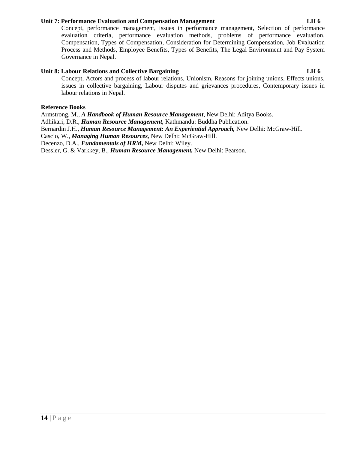## **Unit 7: Performance Evaluation and Compensation Management LH 6**

Concept, performance management, issues in performance management, Selection of performance evaluation criteria, performance evaluation methods, problems of performance evaluation. Compensation, Types of Compensation, Consideration for Determining Compensation, Job Evaluation Process and Methods, Employee Benefits, Types of Benefits, The Legal Environment and Pay System Governance in Nepal.

## **Unit 8: Labour Relations and Collective Bargaining LH 6**

Concept, Actors and process of labour relations, Unionism, Reasons for joining unions, Effects unions, issues in collective bargaining, Labour disputes and grievances procedures, Contemporary issues in labour relations in Nepal.

## **Reference Books**

Armstrong, M., *A Handbook of Human Resource Management*, New Delhi: Aditya Books.

Adhikari, D.R., *Human Resource Management,* Kathmandu: Buddha Publication.

Bernardin J.H., *Human Resource Management: An Experiential Approach,* New Delhi: McGraw-Hill.

Cascio, W., *Managing Human Resources,* New Delhi: McGraw-Hill.

Decenzo, D.A., *Fundamentals of HRM,* New Delhi: Wiley.

Dessler, G. & Varkkey, B., *Human Resource Management,* New Delhi: Pearson.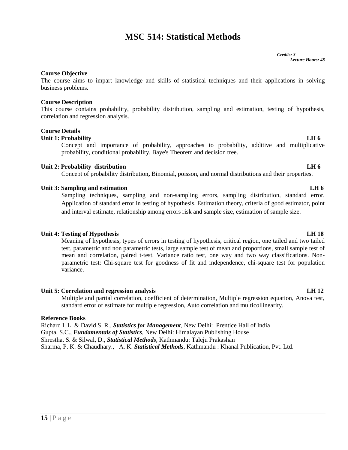# **MSC 514: Statistical Methods**

#### *Credits: 3 Lecture Hours: 48*

## **Course Objective**

The course aims to impart knowledge and skills of statistical techniques and their applications in solving business problems.

## **Course Description**

This course contains probability, probability distribution, sampling and estimation, testing of hypothesis, correlation and regression analysis.

## **Course Details**

## **Unit 1: Probability LH 6**

Concept and importance of probability, approaches to probability, additive and multiplicative probability, conditional probability, Baye's Theorem and decision tree.

## **Unit 2: Probability distribution LH 6**

Concept of probability distribution**,** Binomial, poisson, and normal distributions and their properties.

## **Unit 3: Sampling and estimation LH 6**

Sampling techniques, sampling and non-sampling errors, sampling distribution, standard error, Application of standard error in testing of hypothesis. Estimation theory, criteria of good estimator, point and interval estimate, relationship among errors risk and sample size, estimation of sample size.

## **Unit 4: Testing of Hypothesis LH 18**

Meaning of hypothesis, types of errors in testing of hypothesis, critical region, one tailed and two tailed test, parametric and non parametric tests, large sample test of mean and proportions, small sample test of mean and correlation, paired t-test. Variance ratio test, one way and two way classifications. Non parametric test: Chi-square test for goodness of fit and independence, chi-square test for population variance.

## **Unit 5: Correlation and regression analysis LH 12**

Multiple and partial correlation, coefficient of determination, Multiple regression equation, Anova test, standard error of estimate for multiple regression, Auto correlation and multicollinearity.

## **Reference Books**

Richard I. L. & David S. R., *Statistics for Management*, New Delhi: Prentice Hall of India Gupta, S.C., *Fundamentals of Statistics*, New Delhi: Himalayan Publishing House Shrestha, S. & Silwal, D., *Statistical Methods*, Kathmandu: Taleju Prakashan Sharma, P. K. & Chaudhary., A. K. *Statistical Methods*, Kathmandu : Khanal Publication, Pvt. Ltd.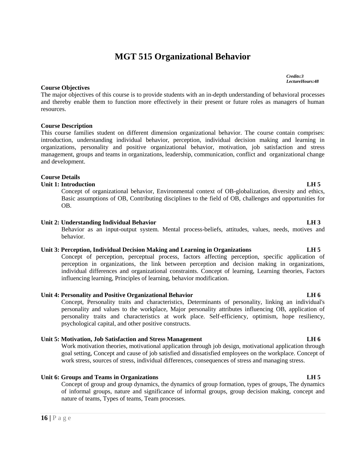# **MGT 515 Organizational Behavior**

## **Course Objectives**

The major objectives of this course is to provide students with an in-depth understanding of behavioral processes and thereby enable them to function more effectively in their present or future roles as managers of human resources.

## **Course Description**

This course families student on different dimension organizational behavior. The course contain comprises: introduction, understanding individual behavior, perception, individual decision making and learning in organizations, personality and positive organizational behavior, motivation, job satisfaction and stress management, groups and teams in organizations, leadership, communication, conflict and organizational change and development.

## **Course Details**

## **Unit 1: Introduction LH 5**

Concept of organizational behavior, Environmental context of OB-globalization, diversity and ethics, Basic assumptions of OB, Contributing disciplines to the field of OB, challenges and opportunities for OB.

#### **Unit 2: Understanding Individual Behavior LH 3**

Behavior as an input-output system. Mental process-beliefs, attitudes, values, needs, motives and behavior.

## **Unit 3: Perception, Individual Decision Making and Learning in Organizations LH 5**

Concept of perception, perceptual process, factors affecting perception, specific application of perception in organizations, the link between perception and decision making in organizations, individual differences and organizational constraints. Concept of learning, Learning theories, Factors influencing learning, Principles of learning, behavior modification.

## **Unit 4: Personality and Positive Organizational Behavior LH 6**

Concept, Personality traits and characteristics, Determinants of personality, linking an individual's personality and values to the workplace, Major personality attributes influencing OB, application of personality traits and characteristics at work place. Self-efficiency, optimism, hope resiliency, psychological capital, and other positive constructs.

## **Unit 5: Motivation, Job Satisfaction and Stress Management LH 6**

Work motivation theories, motivational application through job design, motivational application through goal setting, Concept and cause of job satisfied and dissatisfied employees on the workplace. Concept of work stress, sources of stress, individual differences, consequences of stress and managing stress.

## **Unit 6: Groups and Teams in Organizations LH 5**

**164 164 Concept of g**<br> **16 c p** concept of g<br> **16 p a** g e Concept of group and group dynamics, the dynamics of group formation, types of groups, The dynamics of informal groups, nature and significance of informal groups, group decision making, concept and nature of teams, Types of teams, Team processes.

## *Credits:3 LectureHours:48*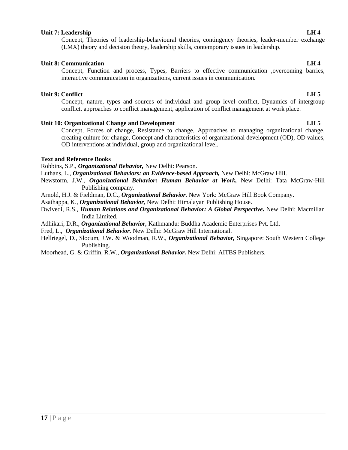## **Unit 7: Leadership LH 4**

Concept, Theories of leadership-behavioural theories, contingency theories, leader-member exchange (LMX) theory and decision theory, leadership skills, contemporary issues in leadership.

## **Unit 8: Communication LH 4**

Concept, Function and process, Types, Barriers to effective communication ,overcoming barries, interactive communication in organizations, current issues in communication.

## **Unit 9: Conflict LH 5**

Concept, nature, types and sources of individual and group level conflict, Dynamics of intergroup conflict, approaches to conflict management, application of conflict management at work place.

## **Unit 10: Organizational Change and Development LH 5**

Concept, Forces of change, Resistance to change, Approaches to managing organizational change, creating culture for change, Concept and characteristics of organizational development (OD), OD values, OD interventions at individual, group and organizational level.

## **Text and Reference Books**

Robbins, S.P., *Organizational Behavior,* New Delhi: Pearson.

Luthans, L., *Organizational Behaviors: an Evidence-based Approach,* New Delhi: McGraw Hill.

- Newstorm, J.W., *Organizational Behavior: Human Behavior at Work,* New Delhi: Tata McGraw-Hill Publishing company.
- Arnold, H.J. & Fieldman, D.C., *Organizational Behavior.* New York: McGraw Hill Book Company.
- Asathappa, K., *Organizational Behavior,* New Delhi: Himalayan Publishing House.
- Dwivedi, R.S., *Human Relations and Organizational Behavior: A Global Perspective.* New Delhi: Macmillan India Limited.
- Adhikari, D.R., *Organizational Behavior,* Kathmandu: Buddha Academic Enterprises Pvt. Ltd.

Fred, L., *Organizational Behavior.* New Delhi: McGraw Hill International.

Hellriegel, D., Slocum, J.W. & Woodman, R.W., *Organizational Behavior,* Singapore: South Western College Publishing.

Moorhead, G. & Griffin, R.W., *Organizational Behavior.* New Delhi: AITBS Publishers.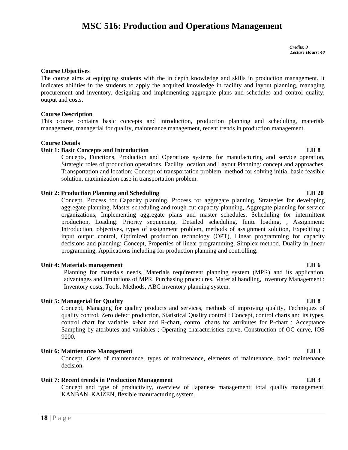# **MSC 516: Production and Operations Management**

*Credits: 3 Lecture Hours: 48*

#### **Course Objectives**

The course aims at equipping students with the in depth knowledge and skills in production management. It indicates abilities in the students to apply the acquired knowledge in facility and layout planning, managing procurement and inventory, designing and implementing aggregate plans and schedules and control quality, output and costs.

#### **Course Description**

This course contains basic concepts and introduction, production planning and scheduling, materials management, managerial for quality, maintenance management, recent trends in production management.

#### **Course Details**

#### **Unit 1: Basic Concepts and Introduction LH 8**

Concepts, Functions, Production and Operations systems for manufacturing and service operation, Strategic roles of production operations, Facility location and Layout Planning: concept and approaches. Transportation and location: Concept of transportation problem, method for solving initial basic feasible solution, maximization case in transportation problem.

#### **Unit 2: Production Planning and Scheduling LH 20**

Concept, Process for Capacity planning, Process for aggregate planning, Strategies for developing aggregate planning, Master scheduling and rough cut capacity planning, Aggregate planning for service organizations, Implementing aggregate plans and master schedules, Scheduling for intermittent production, Loading: Priority sequencing, Detailed scheduling, finite loading, , Assignment: Introduction, objectives, types of assignment problem, methods of assignment solution, Expediting ; input output control, Optimized production technology (OPT), Linear programming for capacity decisions and planning: Concept, Properties of linear programming, Simplex method, Duality in linear programming, Applications including for production planning and controlling.

#### **Unit 4: Materials management LH 6**

Planning for materials needs, Materials requirement planning system (MPR) and its application, advantages and limitations of MPR, Purchasing procedures, Material handling, Inventory Management : Inventory costs, Tools, Methods, ABC inventory planning system.

#### **Unit 5: Managerial for Quality LH 8**

Concept, Managing for quality products and services, methods of improving quality, Techniques of quality control, Zero defect production, Statistical Quality control : Concept, control charts and its types, control chart for variable, x-bar and R-chart, control charts for attributes for P-chart ; Acceptance Sampling by attributes and variables ; Operating characteristics curve, Construction of OC curve, IOS 9000.

#### **Unit 6: Maintenance Management LH 3**

Concept, Costs of maintenance, types of maintenance, elements of maintenance, basic maintenance decision.

#### **Unit 7: Recent trends in Production Management LH 3**

**1884 Unit 7: Recent trend<br>
Concept and<br>
KANBAN, F<br>
<b>18** | P a g e Concept and type of productivity, overview of Japanese management: total quality management, KANBAN, KAIZEN, flexible manufacturing system.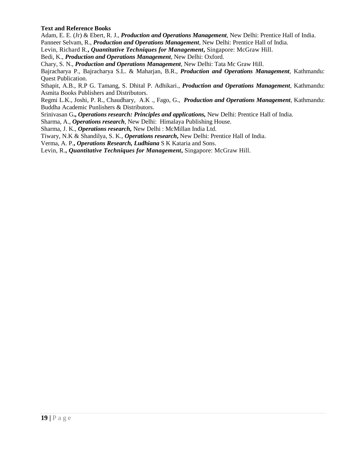## **Text and Reference Books**

Adam, E. E. (Jr) & Ebert, R. J., *Production and Operations Management*, New Delhi: Prentice Hall of India. Panneer Selvam, R., *Production and Operations Management*, New Delhi: Prentice Hall of India.

Levin, Richard R.**,** *Quantitative Techniques for Management***,** Singapore: McGraw Hill.

Bedi, K., *Production and Operations Management*, New Delhi: Oxford.

Chary, S. N., *Production and Operations Management*, New Delhi: Tata Mc Graw Hill.

Bajracharya P., Bajracharya S.L. & Maharjan, B.R., *Production and Operations Management,* Kathmandu: Quest Publication.

Sthapit, A.B., R.P G. Tamang, S. Dhital P. Adhikari., *Production and Operations Management,* Kathmandu: Asmita Books Publishers and Distributors.

Regmi L.K., Joshi, P. R., Chaudhary, A.K ., Fago, G., *Production and Operations Management*, Kathmandu: Buddha Academic Punlishers & Distributors.

Srinivasan G**.,** *Operations research: Principles and applications,* New Delhi: Prentice Hall of India.

Sharma, A., *Operations research*, New Delhi: Himalaya Publishing House.

Sharma, J. K., *Operations research,* New Delhi : McMillan India Ltd.

Tiwary, N.K & Shandilya, S. K., *Operations research***,** New Delhi: Prentice Hall of India.

Verma, A. P.**,** *Operations Research, Ludhiana* S K Kataria and Sons.

Levin, R.**,** *Quantitative Techniques for Management***,** Singapore: McGraw Hill.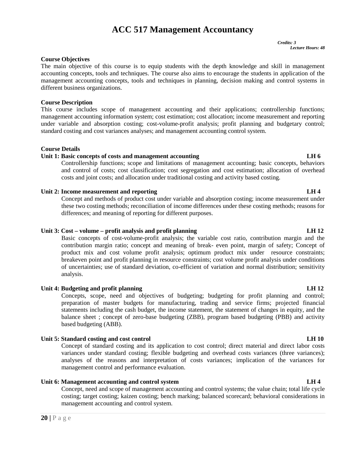## **ACC 517 Management Accountancy**

*Credits: 3 Lecture Hours: 48*

## **Course Objectives**

The main objective of this course is to equip students with the depth knowledge and skill in management accounting concepts, tools and techniques. The course also aims to encourage the students in application of the management accounting concepts, tools and techniques in planning, decision making and control systems in different business organizations.

#### **Course Description**

This course includes scope of management accounting and their applications; controllership functions; management accounting information system; cost estimation; cost allocation; income measurement and reporting under variable and absorption costing; cost-volume-profit analysis; profit planning and budgetary control; standard costing and cost variances analyses; and management accounting control system.

#### **Course Details**

#### **Unit 1: Basic concepts of costs and management accounting LH 6**

Controllership functions; scope and limitations of management accounting; basic concepts, behaviors and control of costs; cost classification; cost segregation and cost estimation; allocation of overhead costs and joint costs; and allocation under traditional costing and activity based costing.

#### **Unit 2: Income measurement and reporting LH 4**

Concept and methods of product cost under variable and absorption costing; income measurement under these two costing methods; reconciliation of income differences under these costing methods; reasons for differences; and meaning of reporting for different purposes.

## **Unit 3: Cost – volume – profit analysis and profit planning LH 12**

Basic concepts of cost-volume-profit analysis; the variable cost ratio, contribution margin and the contribution margin ratio; concept and meaning of break- even point, margin of safety; Concept of product mix and cost volume profit analysis; optimum product mix under resource constraints; breakeven point and profit planning in resource constraints; cost volume profit analysis under conditions of uncertainties; use of standard deviation, co-efficient of variation and normal distribution; sensitivity analysis.

## **Unit 4: Budgeting and profit planning LH 12**

Concepts, scope, need and objectives of budgeting; budgeting for profit planning and control; preparation of master budgets for manufacturing, trading and service firms; projected financial statements including the cash budget, the income statement, the statement of changes in equity, and the balance sheet ; concept of zero-base budgeting (ZBB), program based budgeting (PBB) and activity based budgeting (ABB).

## Unit 5: Standard costing and cost control **LH** 10

Concept of standard costing and its application to cost control; direct material and direct labor costs variances under standard costing; flexible budgeting and overhead costs variances (three variances); analyses of the reasons and interpretation of costs variances; implication of the variances for management control and performance evaluation.

**20** | P a g e<br> **20 Exerce** The value changement accounting and control systems; the value chain; total life cycle<br>
costing; target costing; kaizen costing; bench marking; balanced scorecard; behavioral considerations in Concept, need and scope of management accounting and control systems; the value chain; total life cycle costing; target costing; kaizen costing; bench marking; balanced scorecard; behavioral considerations in management accounting and control system.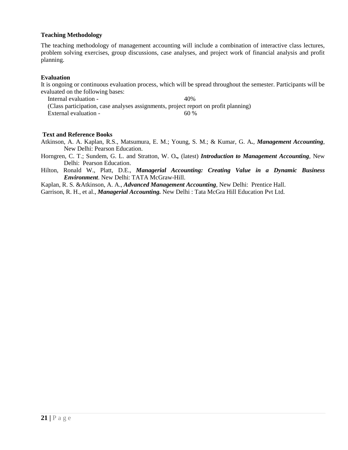## **Teaching Methodology**

The teaching methodology of management accounting will include a combination of interactive class lectures, problem solving exercises, group discussions, case analyses, and project work of financial analysis and profit planning.

#### **Evaluation**

It is ongoing or continuous evaluation process, which will be spread throughout the semester. Participants will be evaluated on the following bases:

Internal evaluation - 40% (Class participation, case analyses assignments, project report on profit planning) External evaluation - 60 %

#### **Text and Reference Books**

Atkinson, A. A. Kaplan, R.S., Matsumura, E. M.; Young, S. M.; & Kumar, G. A*.*, *Management Accounting*, New Delhi: Pearson Education.

Horngren, C. T.; Sundem, G. L. and Stratton, W. O*.,* (latest) *Introduction to Management Accounting,* New Delhi: Pearson Education.

Hilton, Ronald W., Platt, D.E., *Managerial Accounting: Creating Value in a Dynamic Business Environment*. New Delhi: TATA McGraw-Hill.

Kaplan, R. S. &Atkinson, A. A., *Advanced Management Accounting*, New Delhi: Prentice Hall.

Garrison, R. H., et al., *Managerial Accounting.* New Delhi : Tata McGra Hill Education Pvt Ltd.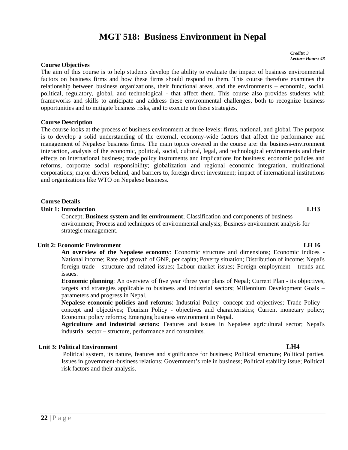# **MGT 518: Business Environment in Nepal**

*Credits: 3 Lecture Hours: 48*

#### **Course Objectives**

The aim of this course is to help students develop the ability to evaluate the impact of business environmental factors on business firms and how these firms should respond to them. This course therefore examines the relationship between business organizations, their functional areas, and the environments – economic, social, political, regulatory, global, and technological - that affect them. This course also provides students with frameworks and skills to anticipate and address these environmental challenges, both to recognize business opportunities and to mitigate business risks, and to execute on these strategies.

#### **Course Description**

The course looks at the process of business environment at three levels: firms, national, and global. The purpose is to develop a solid understanding of the external, economy-wide factors that affect the performance and management of Nepalese business firms. The main topics covered in the course are: the business-environment interaction, analysis of the economic, political, social, cultural, legal, and technological environments and their effects on international business; trade policy instruments and implications for business; economic policies and reforms, corporate social responsibility; globalization and regional economic integration, multinational corporations; major drivers behind, and barriers to, foreign direct investment; impact of international institutions and organizations like WTO on Nepalese business.

#### **Course Details**

## **Unit 1: Introduction LH3**

Concept; **Business system and its environment**; Classification and components of business environment; Process and techniques of environmental analysis; Business environment analysis for strategic management.

#### **Unit 2: Economic Environment LH 16**

**An overview of the Nepalese economy**: Economic structure and dimensions; Economic indices **-** National income; Rate and growth of GNP, per capita; Poverty situation; Distribution of income; Nepal's foreign trade - structure and related issues; Labour market issues; Foreign employment - trends and issues.

**Economic planning**: An overview of five year /three year plans of Nepal; Current Plan - its objectives, targets and strategies applicable to business and industrial sectors; Millennium Development Goals – parameters and progress in Nepal.

**Nepalese economic policies and reforms**: Industrial Policy- concept and objectives; Trade Policy concept and objectives; Tourism Policy - objectives and characteristics; Current monetary policy; Economic policy reforms; Emerging business environment in Nepal.

**Agriculture and industrial sectors:** Features and issues in Nepalese agricultural sector; Nepal's industrial sector – structure, performance and constraints.

## **Unit 3: Political Environment LH4**

Political system, its nature, features and significance for business; Political structure; Political parties, Issues in government-business relations; Government's role in business; Political stability issue; Political risk factors and their analysis.

# **22 |** P a g e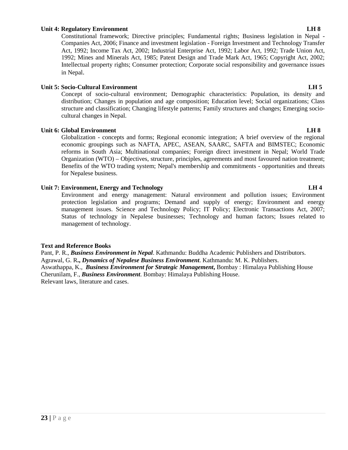#### **Unit 4: Regulatory Environment LH 8**

Constitutional framework; Directive principles; Fundamental rights; Business legislation in Nepal - Companies Act, 2006; Finance and investment legislation - Foreign Investment and Technology Transfer Act, 1992; Income Tax Act, 2002; Industrial Enterprise Act, 1992; Labor Act, 1992; Trade Union Act, 1992; Mines and Minerals Act, 1985; Patent Design and Trade Mark Act, 1965; Copyright Act, 2002; Intellectual property rights; Consumer protection; Corporate social responsibility and governance issues in Nepal.

## **Unit 5: Socio-Cultural Environment LH 5**

Concept of socio-cultural environment; Demographic characteristics: Population, its density and distribution; Changes in population and age composition; Education level; Social organizations; Class structure and classification; Changing lifestyle patterns; Family structures and changes; Emerging socio cultural changes in Nepal.

## **Unit 6: Global Environment LH 8**

Globalization - concepts and forms; Regional economic integration; A brief overview of the regional economic groupings such as NAFTA, APEC, ASEAN, SAARC, SAFTA and BIMSTEC; Economic reforms in South Asia; Multinational companies; Foreign direct investment in Nepal; World Trade Organization (WTO) – Objectives, structure, principles, agreements and most favoured nation treatment; Benefits of the WTO trading system; Nepal's membership and commitments - opportunities and threats for Nepalese business.

## **Unit 7: Environment, Energy and Technology LH 4**

Environment and energy management: Natural environment and pollution issues; Environment protection legislation and programs; Demand and supply of energy; Environment and energy management issues. Science and Technology Policy; IT Policy; Electronic Transactions Act, 2007; Status of technology in Nepalese businesses; Technology and human factors; Issues related to management of technology.

## **Text and Reference Books**

Pant, P. R., *Business Environment in Nepal*. Kathmandu: Buddha Academic Publishers and Distributors. Agrawal, G. R**.,** *Dynamics of Nepalese Business Environment*. Kathmandu: M. K. Publishers. Aswathappa, K., *Business Environment for Strategic Management***,** Bombay : Himalaya Publishing House Cherunilam, F., *Business Environment*. Bombay: Himalaya Publishing House. Relevant laws, literature and cases.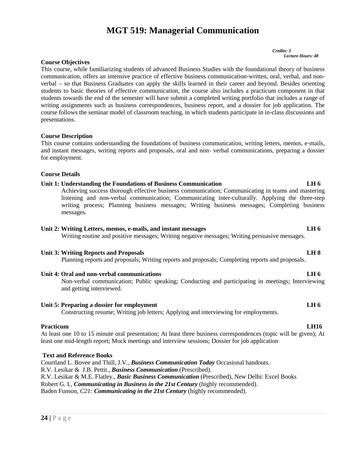# **MGT 519: Managerial Communication**

*Credits: 3 Lecture Hours: 48*

## **Course Objectives**

This course, while familiarizing students of advanced Business Studies with the foundational theory of business communication, offers an intensive practice of effective business communication-written, oral, verbal, and non verbal – so that Business Graduates can apply the skills learned in their career and beyond. Besides orienting students to basic theories of effective communication, the course also includes a practicum component in that students towards the end of the semester will have submit a completed writing portfolio that includes a range of writing assignments such as business correspondences, business report, and a dossier for job application. The course follows the seminar model of classroom teaching, in which students participate in in-class discussions and presentations.

#### **Course Description**

This course contains understanding the foundations of business communication, writing letters, memos, e-mails, and instant messages, writing reports and proposals, oral and non- verbal communications, preparing a dossier for employment.

#### **Course Details**

#### **Unit 1: Understanding the Foundations of Business Communication LH 6**

Achieving success thorough effective business communication; Communicating in teams and mastering listening and non-verbal communication; Communicating inter-culturally. Applying the three-step writing process; Planning business messages; Writing business messages; Completing business messages.

#### **Unit 2: Writing Letters, memos, e-mails, and instant messages LH 6**

Writing routine and positive messages; Writing negative messages; Writing persuasive messages.

#### **Unit 3: Writing Reports and Proposals LH 8**

Planning reports and proposals; Writing reports and proposals; Completing reports and proposals.

#### **Unit 4: Oral and non-verbal communications LH 6**

Non-verbal communication; Public speaking; Conducting and participating in meetings; Interviewing and getting interviewed.

#### Unit 5: Preparing a dossier for employment

Constructing resume; Writing job letters; Applying and interviewing for employments.

#### **Practicum LH16**

At least one 10 to 15 minute oral presentation; At least three business correspondences (topic will be given); At least one mid-length report; Mock meetings and interview sessions; Dossier for job application

#### **Text and Reference Books**

**R.V. Lesikar & M.E.**<br>Robert G. I., *Commu*<br>Baden Funson, *C21:*<br>24 | P a g e Courtland L. Bovee and Thill, J.V., *Business Communication Today* Occasional handouts. R.V. Lesikar & J.B. Pettit., *Business Communication* (Prescribed). R.V. Lesikar & M.E. Flatley., *Basic Business Communication* (Prescribed), New Delhi: Excel Books Robert G. I., *Communicating in Business in the 21st Century* (highly recommended). Baden Funson, *C21: Communicating in the 21st Century* (highly recommended).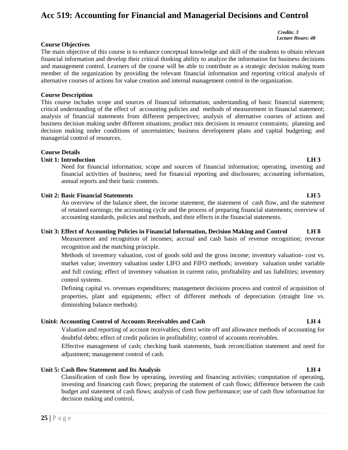## **Acc 519: Accounting for Financial and Managerial Decisions and Control**

#### *Credits: 3 Lecture Hours: 48*

**Course Objectives**

The main objective of this course is to enhance conceptual knowledge and skill of the students to obtain relevant financial information and develop their critical thinking ability to analyze the information for business decisions and management control. Learners of the course will be able to contribute as a strategic decision making team member of the organization by providing the relevant financial information and reporting critical analysis of alternative courses of actions for value creation and internal management control in the organization.

## **Course Description**

This course includes scope and sources of financial information; understanding of basic financial statement; critical understanding of the effect of accounting policies and methods of measurement in financial statement; analysis of financial statements from different perspectives; analysis of alternative courses of actions and business decision making under different situations; product mix decisions in resource constraints; planning and decision making under conditions of uncertainties; business development plans and capital budgeting; and managerial control of resources.

## **Course Details**

## **Unit 1: Introduction LH 3**

Need for financial information; scope and sources of financial information; operating, investing and financial activities of business; need for financial reporting and disclosures; accounting information, annual reports and their basic contents.

## **Unit 2: Basic Financial Statements LH 5**

An overview of the balance sheet, the income statement, the statement of cash flow, and the statement of retained earnings; the accounting cycle and the process of preparing financial statements; overview of accounting standards, policies and methods, and their effects in the financial statements.

## **Unit 3: Effect of Accounting Policies in Financial Information, Decision Making and Control LH 8**

Measurement and recognition of incomes; accrual and cash basis of revenue recognition; revenue recognition and the matching principle.

Methods of inventory valuation, cost of goods sold and the gross income; inventory valuation- cost vs. market value; inventory valuation under LIFO and FIFO methods; inventory valuation under variable and full costing; effect of inventory valuation in current ratio, profitability and tax liabilities; inventory control systems.

Defining capital vs. revenues expenditures; management decisions process and control of acquisition of properties, plant and equipments; effect of different methods of depreciation (straight line vs. diminishing balance methods).

## **Unit4: Accounting Control of Accounts Receivables and Cash LH 4**

Valuation and reporting of account receivables; direct write off and allowance methods of accounting for doubtful debts; effect of credit policies in profitability; control of accounts receivables.

Effective management of cash; checking bank statements, bank reconciliation statement and need for adjustment; management control of cash.

## **Unit 5: Cash flow Statement and Its Analysis LH 4**

**25 P** a g e contract and s decision mak<br>**25 P** a g e Classification of cash flow by operating, investing and financing activities; computation of operating, investing and financing cash flows; preparing the statement of cash flows; difference between the cash budget and statement of cash flows; analysis of cash flow performance; use of cash flow information for decision making and control**.**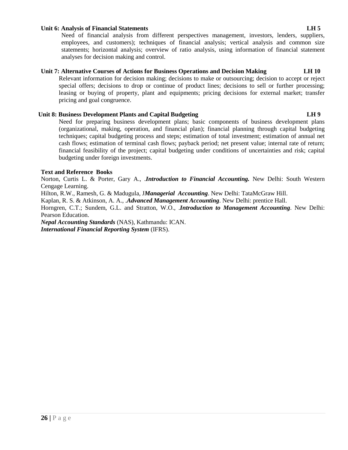#### **Unit 6: Analysis of Financial Statements LH 5**

Need of financial analysis from different perspectives management, investors, lenders, suppliers, employees, and customers); techniques of financial analysis; vertical analysis and common size statements; horizontal analysis; overview of ratio analysis, using information of financial statement analyses for decision making and control.

## **Unit 7: Alternative Courses of Actions for Business Operations and Decision Making LH 10**

Relevant information for decision making; decisions to make or outsourcing; decision to accept or reject special offers; decisions to drop or continue of product lines; decisions to sell or further processing; leasing or buying of property, plant and equipments; pricing decisions for external market; transfer pricing and goal congruence.

## **Unit 8: Business Development Plants and Capital Budgeting LH 9**

Need for preparing business development plans; basic components of business development plans (organizational, making, operation, and financial plan); financial planning through capital budgeting techniques; capital budgeting process and steps; estimation of total investment; estimation of annual net cash flows; estimation of terminal cash flows; payback period; net present value; internal rate of return; financial feasibility of the project; capital budgeting under conditions of uncertainties and risk; capital budgeting under foreign investments.

## **Text and Reference Books**

Norton, Curtis L. & Porter, Gary A., .*Introduction to Financial Accounting.* New Delhi: South Western Cengage Learning.

Hilton, R.W., Ramesh, G. & Madugula, J*Managerial Accounting*. New Delhi: TataMcGraw Hill.

Kaplan, R. S. & Atkinson, A. A., .*Advanced Management Accounting*. New Delhi: prentice Hall.

Horngren, C.T.; Sundem, G.L. and Stratton, W.O., .*Introduction to Management Accounting*. New Delhi: Pearson Education.

*Nepal Accounting Standards* (NAS), Kathmandu: ICAN. *International Financial Reporting System* (IFRS).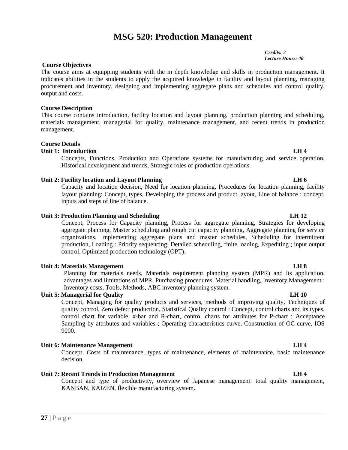# **MSG 520: Production Management**

*Credits: 3 Lecture Hours: 48*

#### **Course Objectives**

The course aims at equipping students with the in depth knowledge and skills in production management. It indicates abilities in the students to apply the acquired knowledge in facility and layout planning, managing procurement and inventory, designing and implementing aggregate plans and schedules and control quality, output and costs.

#### **Course Description**

This course contains introduction, facility location and layout planning, production planning and scheduling, materials management, managerial for quality, maintenance management, and recent trends in production management.

#### **Course Details**

#### **Unit 1: Introduction LH 4**

Concepts, Functions, Production and Operations systems for manufacturing and service operation, Historical development and trends, Strategic roles of production operations.

#### **Unit 2: Facility location and Layout Planning LH 6**

Capacity and location decision, Need for location planning, Procedures for location planning, facility layout planning: Concept, types, Developing the process and product layout, Line of balance : concept, inputs and steps of line of balance.

#### **Unit 3: Production Planning and Scheduling LH 12**

Concept, Process for Capacity planning, Process for aggregate planning, Strategies for developing aggregate planning, Master scheduling and rough cut capacity planning, Aggregate planning for service organizations, Implementing aggregate plans and master schedules, Scheduling for intermittent production, Loading : Priority sequencing, Detailed scheduling, finite loading, Expediting ; input output control, Optimized production technology (OPT).

#### **Unit 4: Materials Management LH 8**

Planning for materials needs, Materials requirement planning system (MPR) and its application, advantages and limitations of MPR, Purchasing procedures, Material handling, Inventory Management : Inventory costs, Tools, Methods, ABC inventory planning system.

#### **Unit 5: Managerial for Quality LH 10**

Concept, Managing for quality products and services, methods of improving quality, Techniques of quality control, Zero defect production, Statistical Quality control : Concept, control charts and its types, control chart for variable, x-bar and R-chart, control charts for attributes for P-chart ; Acceptance Sampling by attributes and variables ; Operating characteristics curve, Construction of OC curve, IOS 9000.

## **Unit 6: Maintenance Management LH 4**

Concept, Costs of maintenance, types of maintenance, elements of maintenance, basic maintenance decision.

#### **Unit 7: Recent Trends in Production Management LH 4**

**27** | P a g e Concept and type of productivity, overview of Japanese management: total quality management, KANBAN, KAIZEN, flexible manufacturing system.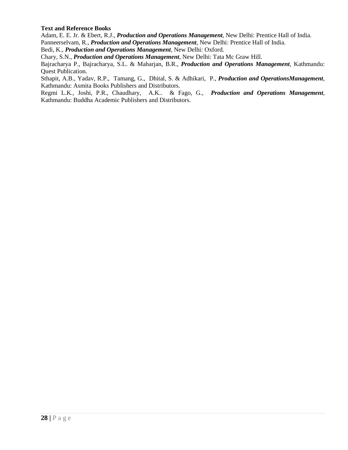## **Text and Reference Books**

Adam, E. E. Jr. & Ebert, R.J., *Production and Operations Management*, New Delhi: Prentice Hall of India. Panneerselvam, R., *Production and Operations Management*, New Delhi: Prentice Hall of India.

Bedi, K., *Production and Operations Management*, New Delhi: Oxford.

Chary, S.N., *Production and Operations Management*, New Delhi: Tata Mc Graw Hill.

Bajracharya P., Bajracharya, S.L. & Maharjan, B.R., *Production and Operations Management*, Kathmandu: Quest Publication.

Sthapit, A.B., Yadav, R.P., Tamang, G., Dhital, S. & Adhikari, P., *Production and OperationsManagement*, Kathmandu: Asmita Books Publishers and Distributors.

Regmi L.K., Joshi, P.R., Chaudhary, A.K.. & Fago, G., *Production and Operations Management*, Kathmandu: Buddha Academic Publishers and Distributors.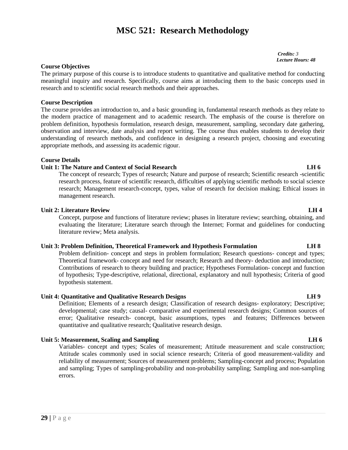# **MSC 521: Research Methodology**

*Credits: 3 Lecture Hours: 48*

## **Course Objectives**

The primary purpose of this course is to introduce students to quantitative and qualitative method for conducting meaningful inquiry and research. Specifically, course aims at introducing them to the basic concepts used in research and to scientific social research methods and their approaches.

#### **Course Description**

The course provides an introduction to, and a basic grounding in, fundamental research methods as they relate to the modern practice of management and to academic research. The emphasis of the course is therefore on problem definition, hypothesis formulation, research design, measurement, sampling, secondary date gathering, observation and interview, date analysis and report writing. The course thus enables students to develop their understanding of research methods, and confidence in designing a research project, choosing and executing appropriate methods, and assessing its academic rigour.

#### **Course Details**

#### **Unit 1: The Nature and Context of Social Research LH 6**

The concept of research; Types of research; Nature and purpose of research; Scientific research -scientific research process, feature of scientific research, difficulties of applying scientific methods to social science research; Management research-concept, types, value of research for decision making; Ethical issues in management research.

#### **Unit 2: Literature Review LH 4**

Concept, purpose and functions of literature review; phases in literature review; searching, obtaining, and evaluating the literature; Literature search through the Internet; Format and guidelines for conducting literature review; Meta analysis.

#### **Unit 3: Problem Definition, Theoretical Framework and Hypothesis Formulation LH 8**

Problem definition- concept and steps in problem formulation; Research questions- concept and types; Theoretical framework- concept and need for research; Research and theory- deduction and introduction; Contributions of research to theory building and practice; Hypotheses Formulation- concept and function of hypothesis; Type-descriptive, relational, directional, explanatory and null hypothesis; Criteria of good hypothesis statement.

## **Unit 4: Quantitative and Qualitative Research Designs LH 9**

Definition; Elements of a research design; Classification of research designs- exploratory; Descriptive; developmental; case study; causal- comparative and experimental research designs; Common sources of error; Qualitative research- concept, basic assumptions, types and features; Differences between quantitative and qualitative research; Qualitative research design.

## **Unit 5: Measurement, Scaling and Sampling LH 6**

Variables- concept and types; Scales of measurement; Attitude measurement and scale construction; Attitude scales commonly used in social science research; Criteria of good measurement-validity and reliability of measurement; Sources of measurement problems; Sampling-concept and process; Population and sampling; Types of sampling-probability and non-probability sampling; Sampling and non-sampling errors.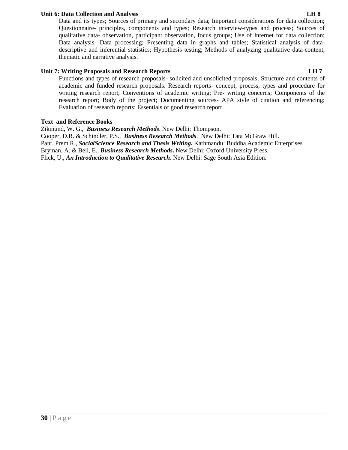## **Unit 6: Data Collection and Analysis LH 8**

Data and its types; Sources of primary and secondary data; Important considerations for data collection; Questionnaire- principles, components and types; Research interview-types and process; Sources of qualitative data- observation, participant observation, focus groups; Use of Internet for data collection; Data analysis- Data processing; Presenting data in graphs and tables; Statistical analysis of data descriptive and inferential statistics; Hypothesis testing; Methods of analyzing qualitative data-content, thematic and narrative analysis.

## **Unit 7: Writing Proposals and Research Reports LH 7**

Functions and types of research proposals- solicited and unsolicited proposals; Structure and contents of academic and funded research proposals. Research reports- concept, process, types and procedure for writing research report; Conventions of academic writing; Pre- writing concerns; Components of the research report; Body of the project; Documenting sources- APA style of citation and referencing; Evaluation of research reports; Essentials of good research report.

## **Text and Reference Books**

Zikmund, W. G., *Business Research Methods*. New Delhi: Thompson. Cooper, D.R. & Schindler, P.S., *Business Research Methods*. New Delhi: Tata McGraw Hill. Pant, Prem R., *SocialScience Research and Thesis Writing***.** Kathmandu: Buddha Academic Enterprises Bryman, A. & Bell, E., *Business Research Methods***.** New Delhi: Oxford University Press. Flick, U., *An Introduction to Qualitative Research***.** New Delhi: Sage South Asia Edition.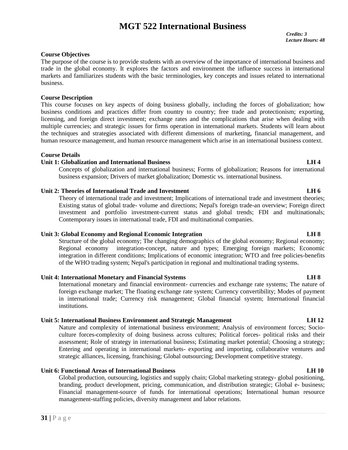# **MGT 522 International Business**

*Credits: 3 Lecture Hours: 48*

## **Course Objectives**

The purpose of the course is to provide students with an overview of the importance of international business and trade in the global economy. It explores the factors and environment the influence success in international markets and familiarizes students with the basic terminologies, key concepts and issues related to international business.

#### **Course Description**

This course focuses on key aspects of doing business globally, including the forces of globalization; how business conditions and practices differ from country to country; free trade and protectionism; exporting, licensing, and foreign direct investment; exchange rates and the complications that arise when dealing with multiple currencies; and strategic issues for firms operation in international markets. Students will learn about the techniques and strategies associated with different dimensions of marketing, financial management, and human resource management, and human resource management which arise in an international business context.

#### **Course Details**

## **Unit 1: Globalization and International Business LH 4**

Concepts of globalization and international business; Forms of globalization; Reasons for international business expansion; Drivers of market globalization; Domestic vs. international business.

#### **Unit 2: Theories of International Trade and Investment LH 6**

Theory of international trade and investment; Implications of international trade and investment theories; Existing status of global trade- volume and directions; Nepal's foreign trade-an overview; Foreign direct investment and portfolio investment-current status and global trends; FDI and multinationals; Contemporary issues in international trade, FDI and multinational companies.

## **Unit 3: Global Economy and Regional Economic Integration LH 8**

Structure of the global economy; The changing demographics of the global economy; Regional economy; Regional economy integration-concept, nature and types; Emerging foreign markets; Economic integration in different conditions; Implications of economic integration; WTO and free policies-benefits of the WHO trading system; Nepal's participation in regional and multinational trading systems.

#### **Unit 4: International Monetary and Financial Systems LH 8**

International monetary and financial environment- currencies and exchange rate systems; The nature of foreign exchange market; The floating exchange rate system; Currency convertibility; Modes of payment in international trade; Currency risk management; Global financial system; International financial institutions.

## **Unit 5: International Business Environment and Strategic Management LH 12**

Nature and complexity of international business environment; Analysis of environment forces; Socio culture forces-complexity of doing business across cultures; Political forces- political risks and their assessment; Role of strategy in international business; Estimating market potential; Choosing a strategy; Entering and operating in international markets- exporting and importing, collaborative ventures and strategic alliances, licensing, franchising; Global outsourcing; Development competitive strategy.

#### **Unit 6: Functional Areas of International Business LH 10**

**31** | Pape Blobal productions and in the management set  $\mathbf{31}$  | P a g e Global production, outsourcing, logistics and supply chain; Global marketing strategy- global positioning, branding, product development, pricing, communication, and distribution strategic; Global e- business; Financial management-source of funds for international operations; International human resource management-staffing policies, diversity management and labor relations.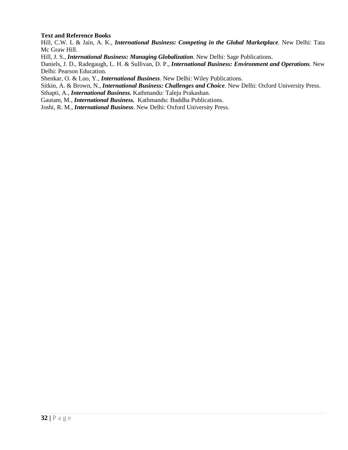## **Text and Reference Books**

Hill, C.W. L & Jain, A. K., *International Business: Competing in the Global Marketplace.* New Delhi: Tata Mc Graw Hill.

Hill, J. S., *International Business: Managing Globalization*. New Delhi: Sage Publications.

Daniels, J. D., Radegaugh, L. H. & Sullivan, D. P., *International Business: Environment and Operations*. New Delhi: Pearson Education.

Shenkar, O. & Luo, Y., *International Business*. New Delhi: Wiley Publications.

Sitkin, A. & Brown, N., *International Business: Challenges and Choice*. New Delhi: Oxford University Press.

Sthapti, A., *International Business.* Kathmandu: Taleju Prakashan.

Gautam, M., *International Business.* Kathmandu: Buddha Publications.

Joshi, R. M., *International Business*. New Delhi: Oxford University Press.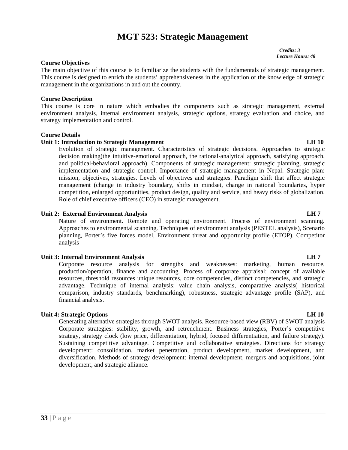# **MGT 523: Strategic Management**

*Credits: 3 Lecture Hours: 48*

#### **Course Objectives**

The main objective of this course is to familiarize the students with the fundamentals of strategic management. This course is designed to enrich the students' apprehensiveness in the application of the knowledge of strategic management in the organizations in and out the country.

#### **Course Description**

This course is core in nature which embodies the components such as strategic management, external environment analysis, internal environment analysis, strategic options, strategy evaluation and choice, and strategy implementation and control.

#### **Course Details**

## **Unit 1: Introduction to Strategic Management LH 10**

Evolution of strategic management. Characteristics of strategic decisions. Approaches to strategic decision making(the intuitive-emotional approach, the rational-analytical approach, satisfying approach, and political-behavioral approach). Components of strategic management: strategic planning, strategic implementation and strategic control. Importance of strategic management in Nepal. Strategic plan: mission, objectives, strategies. Levels of objectives and strategies. Paradigm shift that affect strategic management (change in industry boundary, shifts in mindset, change in national boundaries, hyper competition, enlarged opportunities, product design, quality and service, and heavy risks of globalization. Role of chief executive officers (CEO) in strategic management.

## **Unit 2: External Environment Analysis LH 7**

Nature of environment. Remote and operating environment. Process of environment scanning. Approaches to environmental scanning. Techniques of environment analysis (PESTEL analysis), Scenario planning, Porter's five forces model, Environment threat and opportunity profile (ETOP). Competitor analysis

#### **Unit 3: Internal Environment Analysis LH 7**

Corporate resource analysis for strengths and weaknesses: marketing, human resource, production/operation, finance and accounting. Process of corporate appraisal: concept of available resources, threshold resources unique resources, core competencies, distinct competencies, and strategic advantage. Technique of internal analysis: value chain analysis, comparative analysis( historical comparison, industry standards, benchmarking), robustness, strategic advantage profile (SAP), and financial analysis.

## **Unit 4: Strategic Options LH 10**

Generating alternative strategies through SWOT analysis. Resource-based view (RBV) of SWOT analysis Corporate strategies: stability, growth, and retrenchment. Business strategies, Porter's competitive strategy, strategy clock (low price, differentiation, hybrid, focused differentiation, and failure strategy). Sustaining competitive advantage. Competitive and collaborative strategies. Directions for strategy development: consolidation, market penetration, product development, market development, and diversification. Methods of strategy development: internal development, mergers and acquisitions, joint development, and strategic alliance.

# **33 |** P a g e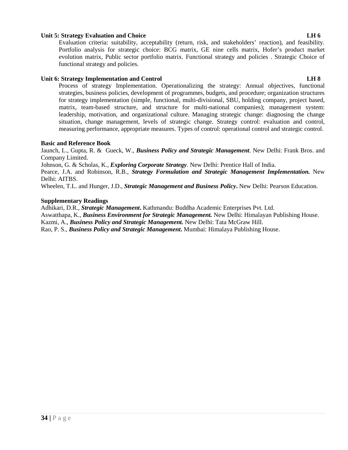## **Unit 5: Strategy Evaluation and Choice LH 6**

Evaluation criteria: suitability, acceptability (return, risk, and stakeholders' reaction), and feasibility. Portfolio analysis for strategic choice: BCG matrix, GE nine cells matrix, Hofer's product market evolution matrix, Public sector portfolio matrix. Functional strategy and policies . Strategic Choice of functional strategy and policies.

## **Unit 6: Strategy Implementation and Control LH 8**

Process of strategy Implementation. Operationalizing the strategy: Annual objectives, functional strategies, business policies, development of programmes, budgets, and procedure; organization structures for strategy implementation (simple, functional, multi-divisional, SBU, holding company, project based, matrix, team-based structure, and structure for multi-national companies); management system: leadership, motivation, and organizational culture. Managing strategic change: diagnosing the change situation, change management, levels of strategic change. Strategy control: evaluation and control, measuring performance, appropriate measures. Types of control: operational control and strategic control.

#### **Basic and Reference Book**

Jaunch, L., Gupta, R. & Gueck, W., *Business Policy and Strategic Management*. New Delhi: Frank Bros. and Company Limited.

Johnson, G. & Scholas, K., *Exploring Corporate Strategy*. New Delhi: Prentice Hall of India.

Pearce, J.A. and Robinson, R.B., *Strategy Formulation and Strategic Management Implementation.* New Delhi: AITBS.

Wheelen, T.L. and Hunger, J.D., *Strategic Management and Business Policy***.** New Delhi: Pearson Education.

#### **Supplementary Readings**

Adhikari, D.R., *Strategic Management***.** Kathmandu: Buddha Academic Enterprises Pvt. Ltd. Aswatthapa, K., *Business Environment for Strategic Management.* New Delhi: Himalayan Publishing House. Kazmi, A., *Business Policy and Strategic Management.* New Delhi: Tata McGraw Hill. Rao, P. S., *Business Policy and Strategic Management***.** Mumbai: Himalaya Publishing House.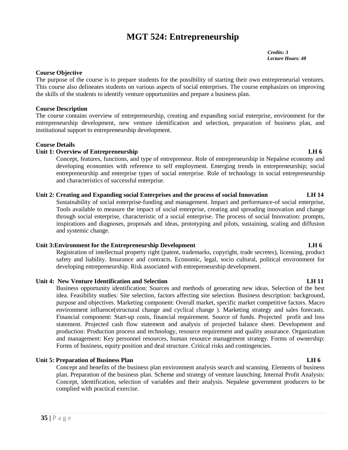# **MGT 524: Entrepreneurship**

*Credits: 3 Lecture Hours: 48*

## **Course Objective**

The purpose of the course is to prepare students for the possibility of starting their own entrepreneurial ventures. This course also delineates students on various aspects of social enterprises. The course emphasizes on improving the skills of the students to identify venture opportunities and prepare a business plan.

#### **Course Description**

The course contains overview of entrepreneurship, creating and expanding social enterprise, environment for the entrepreneurship development, new venture identification and selection, preparation of business plan, and institutional support to entrepreneurship development.

#### **Course Details**

## **Unit 1: Overview of Entrepreneurship LH 6**

Concept, features, functions, and type of entrepreneur. Role of entrepreneurship in Nepalese economy and developing economies with reference to self employment. Emerging trends in entrepreneurship; social entrepreneurship and enterprise types of social enterprise. Role of technology in social entrepreneurship and characteristics of successful enterprise.

#### **Unit 2: Creating and Expanding social Enterprises and the process of social Innovation LH 14**

Sustainability of social enterprise-funding and management. Impact and performance-of social enterprise, Tools available to measure the impact of social enterprise, creating and spreading innovation and change through social enterprise, characteristic of a social enterprise. The process of social Innovation: prompts, inspirations and diagnoses, proposals and ideas, prototyping and pilots, sustaining, scaling and diffusion and systemic change.

## **Unit 3:Environment for the Entrepreneurship Development LH 6**

Registration of intellectual property right (patent, trademarks, copyright, trade secretes), licensing, product safety and liability. Insurance and contracts. Economic, legal, socio cultural, political environment for developing entrepreneurship. Risk associated with entrepreneurship development.

## **Unit 4: New Venture Identification and Selection LH 11**

Business opportunity identification: Sources and methods of generating new ideas. Selection of the best idea. Feasibility studies: Site selection, factors affecting site selection. Business description: background, purpose and objectives. Marketing component: Overall market, specific market competitive factors. Macro environment influence(structural change and cyclical change ). Marketing strategy and sales forecasts. Financial component: Start-up costs, financial requirement. Source of funds. Projected profit and loss statement. Projected cash flow statement and analysis of projected balance sheet. Development and production: Production process and technology, resource requirement and quality assurance. Organization and management: Key personnel resources, human resource management strategy. Forms of ownership: Forms of business, equity position and deal structure. Critical risks and contingencies.

#### **Unit 5: Preparation of Business Plan LH 6**

**25 c** Prairies Concept, identified with<br> **35 P** a g e Concept and benefits of the business plan environment analysis search and scanning. Elements of business plan. Preparation of the business plan. Scheme and strategy of venture launching. Internal Profit Analysis: Concept, identification, selection of variables and their analysis. Nepalese government producers to be complied with practical exercise.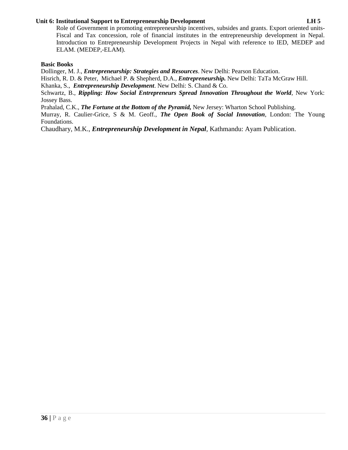### **Unit 6: Institutional Support to Entrepreneurship Development LH 5**

### **Basic Books**

Dollinger, M. J., *Entrepreneurship: Strategies and Resources*. New Delhi: Pearson Education.

Hisrich, R. D. & Peter, Michael P. & Shepherd, D.A., *Entrepreneurship.* New Delhi: TaTa McGraw Hill.

Khanka, S., *Entrepreneurship Development*. New Delhi: S. Chand & Co.

Schwartz, B., *Rippling: How Social Entrepreneurs Spread Innovation Throughout the World*, New York: Jossey Bass.

Prahalad, C.K., *The Fortune at the Bottom of the Pyramid,* New Jersey: Wharton School Publishing.

Murray, R. Caulier-Grice, S & M. Geoff., *The Open Book of Social Innovation*, London: The Young Foundations.

Chaudhary, M.K., *Entrepreneurship Development in Nepal*, Kathmandu: Ayam Publication.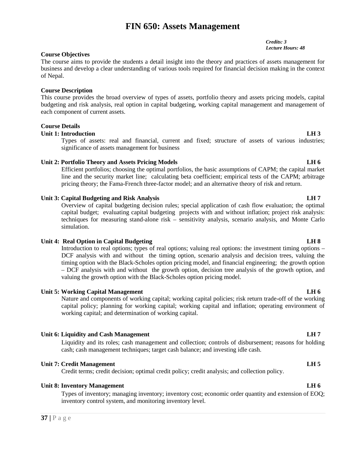# **FIN 650: Assets Management**

**Course Objectives** The course aims to provide the students a detail insight into the theory and practices of assets management for business and develop a clear understanding of various tools required for financial decision making in the context of Nepal.

### **Course Description**

This course provides the broad overview of types of assets, portfolio theory and assets pricing models, capital budgeting and risk analysis, real option in capital budgeting, working capital management and management of each component of current assets.

### **Course Details**

#### **Unit 1: Introduction LH 3**

Types of assets: real and financial, current and fixed; structure of assets of various industries; significance of assets management for business

### **Unit 2: Portfolio Theory and Assets Pricing Models LH 6**

Efficient portfolios; choosing the optimal portfolios, the basic assumptions of CAPM; the capital market line and the security market line; calculating beta coefficient; empirical tests of the CAPM; arbitrage pricing theory; the Fama-French three-factor model; and an alternative theory of risk and return.

#### **Unit 3: Capital Budgeting and Risk Analysis LH 7**

Overview of capital budgeting decision rules; special application of cash flow evaluation; the optimal capital budget; evaluating capital budgeting projects with and without inflation; project risk analysis: techniques for measuring stand-alone risk – sensitivity analysis, scenario analysis, and Monte Carlo simulation.

#### **Unit 4: Real Option in Capital Budgeting LH 8**

Introduction to real options; types of real options; valuing real options: the investment timing options – DCF analysis with and without the timing option, scenario analysis and decision trees, valuing the timing option with the Black-Scholes option pricing model, and financial engineering; the growth option – DCF analysis with and without the growth option, decision tree analysis of the growth option, and valuing the growth option with the Black-Scholes option pricing model.

### **Unit 5: Working Capital Management LH 6**

Nature and components of working capital; working capital policies; risk return trade-off of the working capital policy; planning for working capital; working capital and inflation; operating environment of working capital; and determination of working capital.

### **Unit 6: Liquidity and Cash Management LH 7**

Liquidity and its roles; cash management and collection; controls of disbursement; reasons for holding cash; cash management techniques; target cash balance; and investing idle cash.

### **Unit 7: Credit Management LH 5**

Credit terms; credit decision; optimal credit policy; credit analysis; and collection policy.

#### **Unit 8: Inventory Management LH 6**

**37 |** P a g e Types of inventory; managing inventory; inventory cost; economic order quantity and extension of EOQ; inventory control system, and monitoring inventory level.

*Credits: 3 Lecture Hours: 48*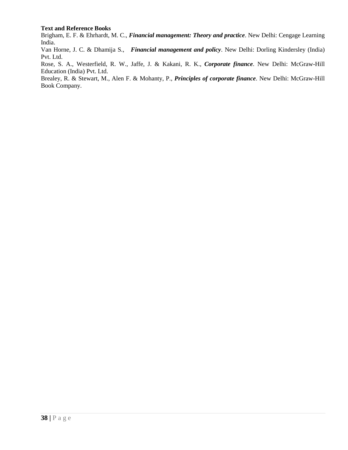### **Text and Reference Books**

Brigham, E. F. & Ehrhardt, M. C., *Financial management: Theory and practice*. New Delhi: Cengage Learning India.

Van Horne, J. C. & Dhamija S., *Financial management and policy*. New Delhi: Dorling Kindersley (India) Pvt. Ltd.

Rose, S. A., Westerfield, R. W., Jaffe, J. & Kakani, R. K., *Corporate finance*. New Delhi: McGraw-Hill Education (India) Pvt. Ltd.

Brealey, R. & Stewart, M., Alen F. & Mohanty, P., *Principles of corporate finance*. New Delhi: McGraw-Hill Book Company.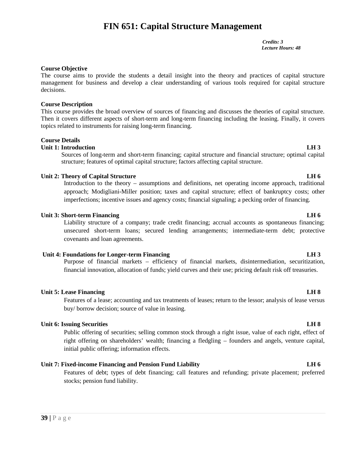# **FIN 651: Capital Structure Management**

*Credits: 3 Lecture Hours: 48*

### **Course Objective**

The course aims to provide the students a detail insight into the theory and practices of capital structure management for business and develop a clear understanding of various tools required for capital structure decisions.

### **Course Description**

This course provides the broad overview of sources of financing and discusses the theories of capital structure. Then it covers different aspects of short-term and long-term financing including the leasing. Finally, it covers topics related to instruments for raising long-term financing.

### **Course Details**

### **Unit 1: Introduction LH 3**

Sources of long-term and short-term financing; capital structure and financial structure; optimal capital structure; features of optimal capital structure; factors affecting capital structure.

### **Unit 2: Theory of Capital Structure LH 6**

Introduction to the theory – assumptions and definitions, net operating income approach, traditional approach; Modigliani-Miller position; taxes and capital structure; effect of bankruptcy costs; other imperfections; incentive issues and agency costs; financial signaling; a pecking order of financing.

### **Unit 3: Short-term Financing LH 6**

Liability structure of a company; trade credit financing; accrual accounts as spontaneous financing; unsecured short-term loans; secured lending arrangements; intermediate-term debt; protective covenants and loan agreements.

### **Unit 4: Foundations for Longer-term Financing LH 3**

Purpose of financial markets – efficiency of financial markets, disintermediation, securitization, financial innovation, allocation of funds; yield curves and their use; pricing default risk off treasuries.

### **Unit 5: Lease Financing LH 8**

Features of a lease; accounting and tax treatments of leases; return to the lessor; analysis of lease versus buy/ borrow decision; source of value in leasing.

#### **Unit 6: Issuing Securities LH 8**

Public offering of securities; selling common stock through a right issue, value of each right, effect of right offering on shareholders' wealth; financing a fledgling – founders and angels, venture capital, initial public offering; information effects.

### **Unit 7: Fixed-income Financing and Pension Fund Liability LH 6**

**39 |** P a g e Features of debt; types of debt financing; call features and refunding; private placement; preferred stocks; pension fund liability.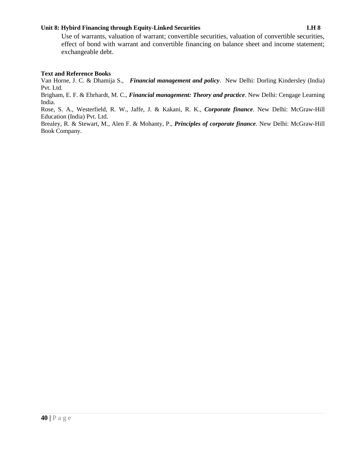### **Unit 8: Hybird Financing through Equity-Linked Securities LH 8**

### **Text and Reference Books**

Van Horne, J. C. & Dhamija S., *Financial management and policy*. New Delhi: Dorling Kindersley (India) Pvt. Ltd.

Brigham, E. F. & Ehrhardt, M. C., *Financial management: Theory and practice*. New Delhi: Cengage Learning India.

Rose, S. A., Westerfield, R. W., Jaffe, J. & Kakani, R. K., *Corporate finance*. New Delhi: McGraw-Hill Education (India) Pvt. Ltd.

Brealey, R. & Stewart, M., Alen F. & Mohanty, P., *Principles of corporate finance*. New Delhi: McGraw-Hill Book Company.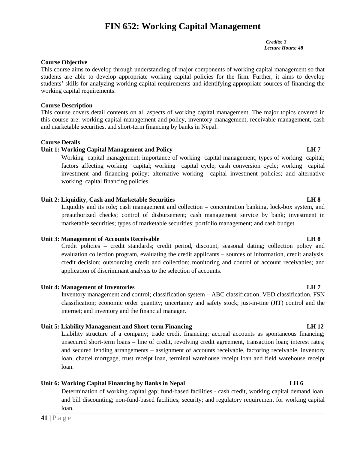# **FIN 652: Working Capital Management**

*Credits: 3 Lecture Hours: 48*

### **Course Objective**

This course aims to develop through understanding of major components of working capital management so that students are able to develop appropriate working capital policies for the firm. Further, it aims to develop students' skills for analyzing working capital requirements and identifying appropriate sources of financing the working capital requirements.

#### **Course Description**

This course covers detail contents on all aspects of working capital management. The major topics covered in this course are: working capital management and policy, inventory management, receivable management, cash and marketable securities, and short-term financing by banks in Nepal.

#### **Course Details**

### **Unit 1: Working Capital Management and Policy LH 7**

Working capital management; importance of working capital management; types of working capital; factors affecting working capital; working capital cycle; cash conversion cycle; working capital investment and financing policy; alternative working capital investment policies; and alternative working capital financing policies.

### **Unit 2: Liquidity, Cash and Marketable Securities LH 8**

Liquidity and its role; cash management and collection – concentration banking, lock-box system, and preauthorized checks; control of disbursement; cash management service by bank; investment in marketable securities; types of marketable securities; portfolio management; and cash budget.

### **Unit 3: Management of Accounts Receivable LH 8**

Credit policies – credit standards; credit period, discount, seasonal dating; collection policy and evaluation collection program, evaluating the credit applicants – sources of information, credit analysis, credit decision; outsourcing credit and collection; monitoring and control of account receivables; and application of discriminant analysis to the selection of accounts.

### **Unit 4: Management of Inventories LH 7**

Inventory management and control; classification system – ABC classification, VED classification, FSN classification; economic order quantity; uncertainty and safety stock; just-in-tine (JIT) control and the internet; and inventory and the financial manager.

### **Unit 5: Liability Management and Short-term Financing LH 12**

Liability structure of a company; trade credit financing; accrual accounts as spontaneous financing; unsecured short-term loans – line of credit, revolving credit agreement, transaction loan; interest rates; and secured lending arrangements – assignment of accounts receivable, factoring receivable, inventory loan, chattel mortgage, trust receipt loan, terminal warehouse receipt loan and field warehouse receipt loan.

### **Unit 6: Working Capital Financing by Banks in Nepal LH 6**

**41** P a g e<br> **41** P a g e<br> **41** P a g e Determination of working capital gap; fund-based facilities - cash credit, working capital demand loan, and bill discounting; non-fund-based facilities; security; and regulatory requirement for working capital loan.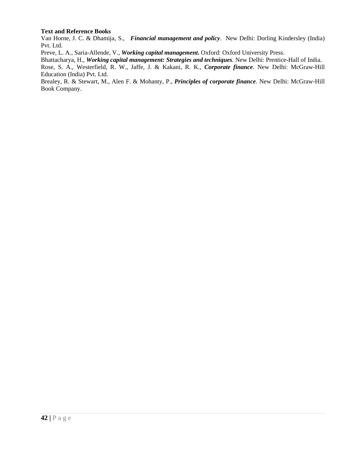### **Text and Reference Books**

Van Horne, J. C. & Dhamija, S., *Financial management and policy*. New Delhi: Dorling Kindersley (India) Pvt. Ltd.

Preve, L. A., Saria-Allende, V., *Working capital management***.** Oxford: Oxford University Press.

Bhattacharya, H., *Working capital management: Strategies and techniques.* New Delhi: Prentice-Hall of India.

Rose, S. A., Westerfield, R. W., Jaffe, J. & Kakani, R. K., *Corporate finance*. New Delhi: McGraw-Hill Education (India) Pvt. Ltd.

Brealey, R. & Stewart, M., Alen F. & Mohanty, P., *Principles of corporate finance*. New Delhi: McGraw-Hill Book Company.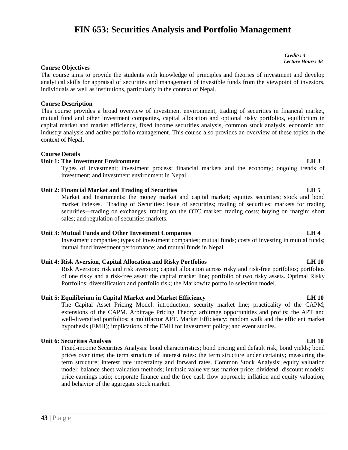# **FIN 653: Securities Analysis and Portfolio Management**

*Credits: 3 Lecture Hours: 48*

#### **Course Objectives**

The course aims to provide the students with knowledge of principles and theories of investment and develop analytical skills for appraisal of securities and management of investible funds from the viewpoint of investors, individuals as well as institutions, particularly in the context of Nepal.

#### **Course Description**

This course provides a broad overview of investment environment, trading of securities in financial market, mutual fund and other investment companies, capital allocation and optional risky portfolios, equilibrium in capital market and market efficiency, fixed income securities analysis, common stock analysis, economic and industry analysis and active portfolio management. This course also provides an overview of these topics in the context of Nepal.

#### **Course Details**

### **Unit 1: The Investment Environment LH 3**

Types of investment; investment process; financial markets and the economy; ongoing trends of investment; and investment environment in Nepal.

#### **Unit 2: Financial Market and Trading of Securities LH 5**

Market and Instruments: the money market and capital market; equities securities; stock and bond market indexes. Trading of Securities: issue of securities; trading of securities; markets for trading securities—trading on exchanges, trading on the OTC market; trading costs; buying on margin; short sales; and regulation of securities markets.

### **Unit 3: Mutual Funds and Other Investment Companies LH 4**

Investment companies; types of investment companies; mutual funds; costs of investing in mutual funds; mutual fund investment performance; and mutual funds in Nepal.

#### **Unit 4: Risk Aversion, Capital Allocation and Risky Portfolios LH 10**

Risk Aversion: risk and risk aversion**;** capital allocation across risky and risk-free portfolios; portfolios of one risky and a risk-free asset; the capital market line; portfolio of two risky assets. Optimal Risky Portfolios: diversification and portfolio risk; the Markowitz portfolio selection model.

#### **Unit 5: Equilibrium in Capital Market and Market Efficiency LH 10**

The Capital Asset Pricing Model: introduction; security market line; practicality of the CAPM; extensions of the CAPM. Arbitrage Pricing Theory: arbitrage opportunities and profits; the APT and well-diversified portfolios; a multifactor APT. Market Efficiency: random walk and the efficient market hypothesis (EMH); implications of the EMH for investment policy; and event studies.

### **Unit 6: Securities Analysis LH 10**

price-earning<br>and behavior<br>**43** | P a g e Fixed-income Securities Analysis: bond characteristics; bond pricing and default risk; bond yields; bond prices over time; the term structure of interest rates: the term structure under certainty; measuring the term structure; interest rate uncertainty and forward rates. Common Stock Analysis: equity valuation model; balance sheet valuation methods; intrinsic value versus market price; dividend discount models; price-earnings ratio; corporate finance and the free cash flow approach; inflation and equity valuation; and behavior of the aggregate stock market.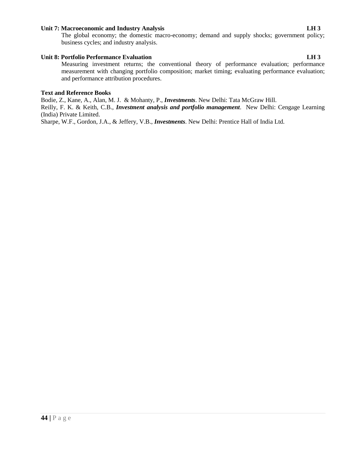#### **Unit 7: Macroeconomic and Industry Analysis LH 3**

The global economy; the domestic macro-economy; demand and supply shocks; government policy; business cycles; and industry analysis.

### **Unit 8: Portfolio Performance Evaluation LH 3**

Measuring investment returns; the conventional theory of performance evaluation; performance measurement with changing portfolio composition; market timing; evaluating performance evaluation; and performance attribution procedures.

### **Text and Reference Books**

Bodie, Z., Kane, A., Alan, M. J. & Mohanty, P., *Investments*. New Delhi: Tata McGraw Hill. Reilly, F. K. & Keith, C.B., *Investment analysis and portfolio management*. New Delhi: Cengage Learning

(India) Private Limited.

Sharpe, W.F., Gordon, J.A., & Jeffery, V.B., *Investments*. New Delhi: Prentice Hall of India Ltd.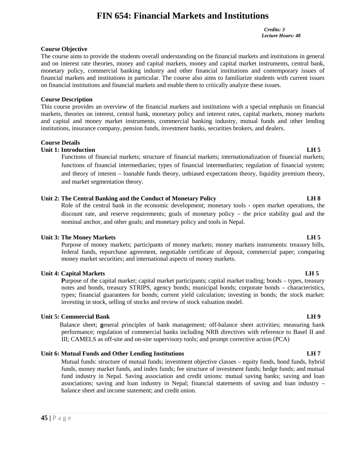# **FIN 654: Financial Markets and Institutions**

*Credits: 3 Lecture Hours: 48*

### **Course Objective**

The course aims to provide the students overall understanding on the financial markets and institutions in general and on interest rate theories, money and capital markets, money and capital market instruments, central bank, monetary policy, commercial banking industry and other financial institutions and contemporary issues of financial markets and institutions in particular. The course also aims to familiarize students with current issues on financial institutions and financial markets and enable them to critically analyze these issues.

#### **Course Description**

This course provides an overview of the financial markets and institutions with a special emphasis on financial markets, theories on interest, central bank, monetary policy and interest rates, capital markets, money markets and capital and money market instruments, commercial banking industry, mutual funds and other lending institutions, insurance company, pension funds, investment banks, securities brokers, and dealers.

#### **Course Details**

#### **Unit 1: Introduction LH 5**

Functions of financial markets; structure of financial markets; internationalization of financial markets; functions of financial intermediaries; types of financial intermediaries; regulation of financial system; and theory of interest – loanable funds theory, unbiased expectations theory, liquidity premium theory, and market segmentation theory.

### **Unit 2: The Central Banking and the Conduct of Monetary Policy LH 8**

Role of the central bank in the economic development; monetary tools - open market operations, the discount rate, and reserve requirements; goals of monetary policy – the price stability goal and the nominal anchor, and other goals; and monetary policy and tools in Nepal.

### **Unit 3: The Money Markets LH 5**

Purpose of money markets; participants of money markets; money markets instruments: treasury bills, federal funds, repurchase agreement, negotiable certificate of deposit, commercial paper; comparing money market securities; and international aspects of money markets.

#### **Unit 4: Capital Markets LH 5**

**P**urpose of the capital market; capital market participants; capital market trading; bonds – types, treasury notes and bonds, treasury STRIPS, agency bonds; municipal bonds; corporate bonds – characteristics, types; financial guarantees for bonds; current yield calculation; investing in bonds; the stock market: investing in stock, selling of stocks and review of stock valuation model.

#### **Unit 5: Commercial Bank LH 9**

Balance sheet; **g**eneral principles of bank management; off-balance sheet activities; measuring bank performance; regulation of commercial banks including NRB directives with reference to Basel II and III; CAMELS as off-site and on-site supervisory tools; and prompt corrective action (PCA)

#### **Unit 6: Mutual Funds and Other Lending Institutions LH 7**

**45** | P a g e Mutual funds: structure of mutual funds; investment objective classes – equity funds, bond funds, hybrid funds, money market funds, and index funds; fee structure of investment funds; hedge funds; and mutual fund industry in Nepal. Saving association and credit unions: mutual saving banks; saving and loan associations; saving and loan industry in Nepal; financial statements of saving and loan industry – balance sheet and income statement; and credit union.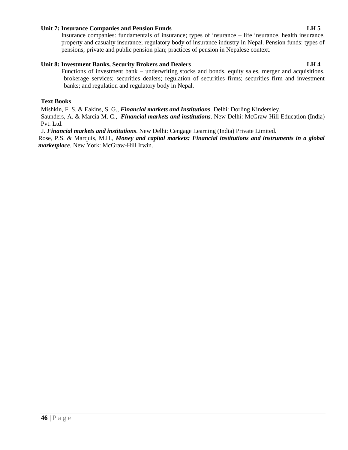### **Unit 7: Insurance Companies and Pension Funds LH 5**

Insurance companies: fundamentals of insurance; types of insurance – life insurance, health insurance, property and casualty insurance; regulatory body of insurance industry in Nepal. Pension funds: types of pensions; private and public pension plan; practices of pension in Nepalese context.

### **Unit 8: Investment Banks, Security Brokers and Dealers LH 4**

Functions of investment bank – underwriting stocks and bonds, equity sales, merger and acquisitions, brokerage services; securities dealers; regulation of securities firms; securities firm and investment banks; and regulation and regulatory body in Nepal.

#### **Text Books**

Mishkin, F. S. & Eakins, S. G., *Financial markets and Institutions*. Delhi: Dorling Kindersley. Saunders, A. & Marcia M. C., *Financial markets and institutions*. New Delhi: McGraw-Hill Education (India) Pvt. Ltd.

J. *Financial markets and institutions*. New Delhi: Cengage Learning (India) Private Limited.

Rose, P.S. & Marquis, M.H., *Money and capital markets: Financial institutions and instruments in a global marketplace*. New York: McGraw-Hill Irwin.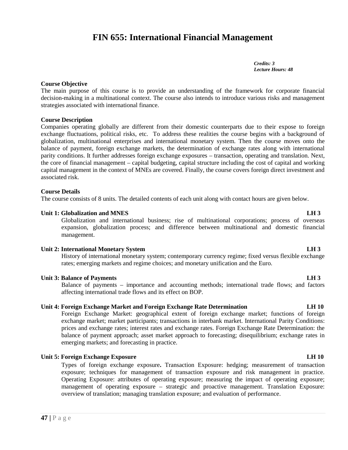# **FIN 655: International Financial Management**

*Credits: 3 Lecture Hours: 48*

#### **Course Objective**

The main purpose of this course is to provide an understanding of the framework for corporate financial decision-making in a multinational context. The course also intends to introduce various risks and management strategies associated with international finance.

#### **Course Description**

Companies operating globally are different from their domestic counterparts due to their expose to foreign exchange fluctuations, political risks, etc. To address these realities the course begins with a background of globalization, multinational enterprises and international monetary system. Then the course moves onto the balance of payment, foreign exchange markets, the determination of exchange rates along with international parity conditions. It further addresses foreign exchange exposures – transaction, operating and translation. Next, the core of financial management – capital budgeting, capital structure including the cost of capital and working capital management in the context of MNEs are covered. Finally, the course covers foreign direct investment and associated risk.

#### **Course Details**

The course consists of 8 units. The detailed contents of each unit along with contact hours are given below.

#### **Unit 1: Globalization and MNES LH 3**

Globalization and international business; rise of multinational corporations; process of overseas expansion, globalization process; and difference between multinational and domestic financial management.

#### **Unit 2: International Monetary System LH 3**

History of international monetary system; contemporary currency regime; fixed versus flexible exchange rates; emerging markets and regime choices; and monetary unification and the Euro.

#### **Unit 3: Balance of Payments LH 3**

Balance of payments – importance and accounting methods; international trade flows; and factors affecting international trade flows and its effect on BOP.

#### **Unit 4: Foreign Exchange Market and Foreign Exchange Rate Determination LH 10**

Foreign Exchange Market: geographical extent of foreign exchange market; functions of foreign exchange market; market participants; transactions in interbank market. International Parity Conditions: prices and exchange rates; interest rates and exchange rates. Foreign Exchange Rate Determination: the balance of payment approach; asset market approach to forecasting; disequilibrium; exchange rates in emerging markets; and forecasting in practice.

#### **Unit 5: Foreign Exchange Exposure LH 10**

**47 c** Present properties Consider the Section of the Section of the Section of  $\mathbf{47}$  | P a g e Types of foreign exchange exposure**.** Transaction Exposure: hedging; measurement of transaction exposure; techniques for management of transaction exposure and risk management in practice. Operating Exposure: attributes of operating exposure; measuring the impact of operating exposure; management of operating exposure – strategic and proactive management. Translation Exposure: overview of translation; managing translation exposure; and evaluation of performance.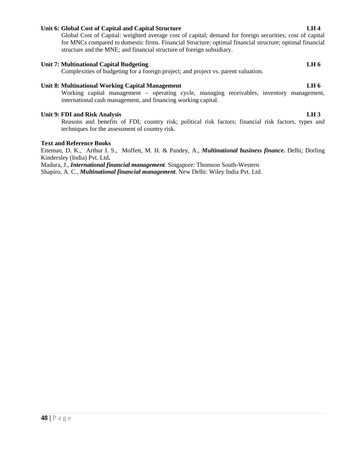### **Unit 6: Global Cost of Capital and Capital Structure LH 4**

Global Cost of Capital: weighted average cost of capital; demand for foreign securities; cost of capital for MNCs compared to domestic firms. Financial Structure: optimal financial structure; optimal financial structure and the MNE; and financial structure of foreign subsidiary.

#### **Unit 7: Multinational Capital Budgeting LH 6**

Complexities of budgeting for a foreign project; and project vs. parent valuation.

### **Unit 8: Multinational Working Capital Management LH 6**

Working capital management – operating cycle, managing receivables, inventory management, international cash management, and financing working capital.

#### **Unit 9: FDI and Risk Analysis LH 3**

Reasons and benefits of FDI; country risk; political risk factors; financial risk factors, types and techniques for the assessment of country risk.

#### **Text and Reference Books**

Eiteman, D. K., Arthur I. S., Moffett, M. H. & Pandey, A., *Multinational business finance***.** Delhi; Dorling Kindersley (India) Pvt. Ltd**.**

Madura, J., *International financial management*. Singapore: Thomson South-Western Shapiro, A. C., *Multinational financial management*. New Delhi: Wiley India Pvt. Ltd.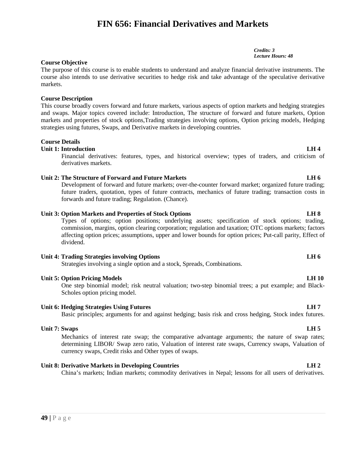# **FIN 656: Financial Derivatives and Markets**

### **Course Objective**

The purpose of this course is to enable students to understand and analyze financial derivative instruments. The course also intends to use derivative securities to hedge risk and take advantage of the speculative derivative markets.

### **Course Description**

This course broadly covers forward and future markets, various aspects of option markets and hedging strategies and swaps. Major topics covered include: Introduction, The structure of forward and future markets, Option markets and properties of stock options,Trading strategies involving options, Option pricing models, Hedging strategies using futures, Swaps, and Derivative markets in developing countries.

### **Course Details**

### **Unit 1: Introduction LH 4**

Financial derivatives: features, types, and historical overview; types of traders, and criticism of derivatives markets.

### **Unit 2: The Structure of Forward and Future Markets LH 6**

Development of forward and future markets; over-the-counter forward market; organized future trading; future traders, quotation, types of future contracts, mechanics of future trading; transaction costs in forwards and future trading; Regulation. (Chance).

### **Unit 3: Option Markets and Properties of Stock Options LH 8**

Types of options; option positions; underlying assets; specification of stock options; trading, commission, margins, option clearing corporation; regulation and taxation; OTC options markets; factors affecting option prices; assumptions, upper and lower bounds for option prices; Put-call parity, Effect of dividend.

### **Unit 4: Trading Strategies involving Options LH 6**

Strategies involving a single option and a stock, Spreads, Combinations.

### **Unit 5: Option Pricing Models LH 10**

One step binomial model; risk neutral valuation; two-step binomial trees; a put example; and Black- Scholes option pricing model.

### **Unit 6: Hedging Strategies Using Futures LH 7**

Basic principles; arguments for and against hedging; basis risk and cross hedging, Stock index futures.

### **Unit 7: Swaps LH 5**

Mechanics of interest rate swap; the comparative advantage arguments; the nature of swap rates; determining LIBOR/ Swap zero ratio, Valuation of interest rate swaps, Currency swaps, Valuation of currency swaps, Credit risks and Other types of swaps.

### **Unit 8: Derivative Markets in Developing Countries LH 2**

China's markets; Indian markets; commodity derivatives in Nepal; lessons for all users of derivatives.

*Credits: 3 Lecture Hours: 48*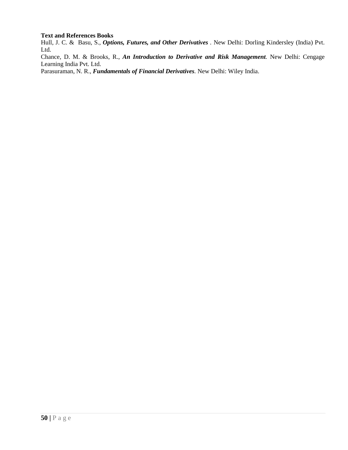### **Text and References Books**

Hull, J. C. & Basu, S., *Options, Futures, and Other Derivatives .* New Delhi: Dorling Kindersley (India) Pvt. Ltd.

Chance, D. M. & Brooks, R., *An Introduction to Derivative and Risk Management.* New Delhi: Cengage Learning India Pvt. Ltd.

Parasuraman, N. R., *Fundamentals of Financial Derivatives.* New Delhi: Wiley India.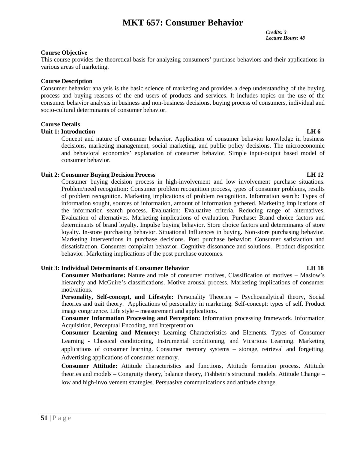# **MKT 657: Consumer Behavior**

*Credits: 3 Lecture Hours: 48*

#### **Course Objective**

This course provides the theoretical basis for analyzing consumers' purchase behaviors and their applications in various areas of marketing.

#### **Course Description**

Consumer behavior analysis is the basic science of marketing and provides a deep understanding of the buying process and buying reasons of the end users of products and services. It includes topics on the use of the consumer behavior analysis in business and non-business decisions, buying process of consumers, individual and socio-cultural determinants of consumer behavior.

#### **Course Details**

#### **Unit 1: Introduction LH 6**

Concept and nature of consumer behavior. Application of consumer behavior knowledge in business decisions, marketing management, social marketing, and public policy decisions. The microeconomic and behavioral economics' explanation of consumer behavior. Simple input-output based model of consumer behavior.

#### **Unit 2: Consumer Buying Decision Process LH 12**

Consumer buying decision process in high-involvement and low involvement purchase situations. Problem/need recognition**:** Consumer problem recognition process, types of consumer problems, results of problem recognition. Marketing implications of problem recognition. Information search: Types of information sought, sources of information, amount of information gathered. Marketing implications of the information search process. Evaluation: Evaluative criteria, Reducing range of alternatives, Evaluation of alternatives. Marketing implications of evaluation. Purchase: Brand choice factors and determinants of brand loyalty. Impulse buying behavior. Store choice factors and determinants of store loyalty. In-store purchasing behavior. Situational Influences in buying. Non-store purchasing behavior. Marketing interventions in purchase decisions. Post purchase behavior: Consumer satisfaction and dissatisfaction. Consumer complaint behavior. Cognitive dissonance and solutions. Product disposition behavior. Marketing implications of the post purchase outcomes.

#### **Unit 3: Individual Determinants of Consumer Behavior LH 18**

**Consumer Motivations:** Nature and role of consumer motives, Classification of motives – Maslow's hierarchy and McGuire's classifications. Motive arousal process. Marketing implications of consumer motivations.

**Personality, Self-concept, and Lifestyle:** Personality Theories – Psychoanalytical theory, Social theories and trait theory. Applications of personality in marketing. Self-concept: types of self. Product image congruence. Life style – measurement and applications.

**Consumer Information Processing and Perception:** Information processing framework. Information Acquisition, Perceptual Encoding, and Interpretation.

**Consumer Learning and Memory:** Learning Characteristics and Elements. Types of Consumer Learning - Classical conditioning, Instrumental conditioning, and Vicarious Learning. Marketing applications of consumer learning. Consumer memory systems – storage, retrieval and forgetting. Advertising applications of consumer memory.

**151 c** low and high<br>51 | P a g e **Consumer Attitude:** Attitude characteristics and functions, Attitude formation process. Attitude theories and models – Congruity theory, balance theory, Fishbein's structural models. Attitude Change – low and high-involvement strategies. Persuasive communications and attitude change.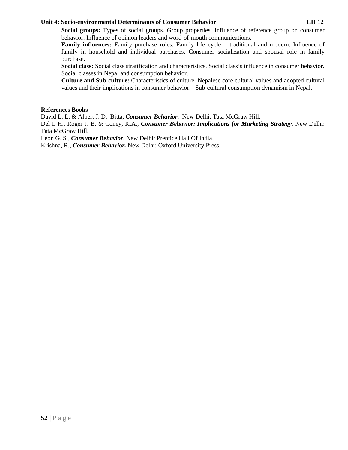### **Unit 4: Socio-environmental Determinants of Consumer Behavior LH 12**

**Social groups:** Types of social groups. Group properties. Influence of reference group on consumer behavior. Influence of opinion leaders and word-of-mouth communications.

**Family influences:** Family purchase roles. Family life cycle – traditional and modern. Influence of family in household and individual purchases. Consumer socialization and spousal role in family purchase.

**Social class:** Social class stratification and characteristics. Social class's influence in consumer behavior. Social classes in Nepal and consumption behavior.

**Culture and Sub-culture:** Characteristics of culture. Nepalese core cultural values and adopted cultural values and their implications in consumer behavior. Sub-cultural consumption dynamism in Nepal.

### **References Books**

David L. L. & Albert J. D. Bitta**,** *Consumer Behavior.* New Delhi: Tata McGraw Hill.

Del I. H., Roger J. B. & Coney, K.A., *Consumer Behavior: Implications for Marketing Strategy.* New Delhi: Tata McGraw Hill.

Leon G. S., *Consumer Behavior.* New Delhi: Prentice Hall Of India.

Krishna, R., *Consumer Behavior.* New Delhi: Oxford University Press.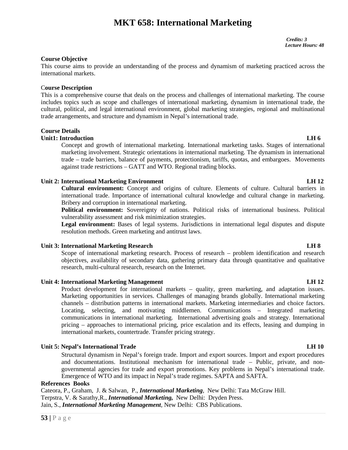# **MKT 658: International Marketing**

*Credits: 3 Lecture Hours: 48*

#### **Course Objective**

This course aims to provide an understanding of the process and dynamism of marketing practiced across the international markets.

#### C**ourse Description**

This is a comprehensive course that deals on the process and challenges of international marketing. The course includes topics such as scope and challenges of international marketing, dynamism in international trade, the cultural, political, and legal international environment, global marketing strategies, regional and multinational trade arrangements, and structure and dynamism in Nepal's international trade.

### **Course Details**

### **Unit1: Introduction LH 6**

Concept and growth of international marketing. International marketing tasks. Stages of international marketing involvement. Strategic orientations in international marketing. The dynamism in international trade – trade barriers, balance of payments, protectionism, tariffs, quotas, and embargoes. Movements against trade restrictions – GATT and WTO. Regional trading blocks.

### **Unit 2: International Marketing Environment LH 12**

**Cultural environment:** Concept and origins of culture. Elements of culture. Cultural barriers in international trade. Importance of international cultural knowledge and cultural change in marketing. Bribery and corruption in international marketing.

**Political environment:** Sovereignty of nations. Political risks of international business. Political vulnerability assessment and risk minimization strategies.

**Legal environment:** Bases of legal systems. Jurisdictions in international legal disputes and dispute resolution methods. Green marketing and antitrust laws.

#### **Unit 3: International Marketing Research LH 8**

Scope of international marketing research. Process of research – problem identification and research objectives, availability of secondary data, gathering primary data through quantitative and qualitative research, multi-cultural research, research on the Internet.

#### **Unit 4: International Marketing Management LH 12**

Product development for international markets – quality, green marketing, and adaptation issues. Marketing opportunities in services. Challenges of managing brands globally. International marketing channels – distribution patterns in international markets. Marketing intermediaries and choice factors. Locating, selecting, and motivating middlemen. Communications – Integrated marketing communications in international marketing. International advertising goals and strategy. International pricing – approaches to international pricing, price escalation and its effects, leasing and dumping in international markets, countertrade. Transfer pricing strategy.

### **Unit 5: Nepal's International Trade LH 10**

Structural dynamism in Nepal's foreign trade. Import and export sources. Import and export procedures and documentations. Institutional mechanism for international trade – Public, private, and non governmental agencies for trade and export promotions. Key problems in Nepal's international trade. Emergence of WTO and its impact in Nepal's trade regimes. SAPTA and SAFTA.

#### **References Books**

Emergence C<br> **References Books**<br>
Cateora, P., Graham,<br>
Terpstra, V. & Saratl<br>
Jain, S., *Internatione*<br>
53 | P a g e Cateora, P., Graham, J. & Salwan, P., *International Marketing,* New Delhi: Tata McGraw Hill. Terpstra, V. & Sarathy,R., *International Marketing,* New Delhi: Dryden Press. Jain, S., *International Marketing Management,* New Delhi: CBS Publications.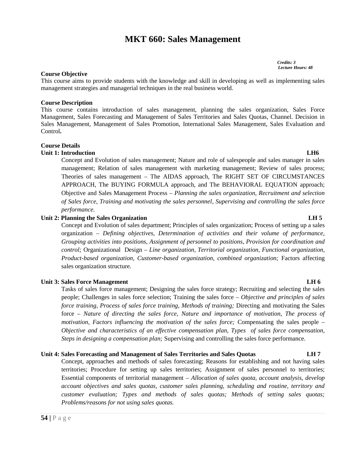# **MKT 660: Sales Management**

*Credits: 3 Lecture Hours: 48*

#### **Course Objective**

This course aims to provide students with the knowledge and skill in developing as well as implementing sales management strategies and managerial techniques in the real business world.

### **Course Description**

This course contains introduction of sales management, planning the sales organization, Sales Force Management, Sales Forecasting and Management of Sales Territories and Sales Quotas, Channel. Decision in Sales Management, Management of Sales Promotion, International Sales Management, Sales Evaluation and Control**.**

### **Course Details**

### **Unit 1: Introduction LH6**

Concept and Evolution of sales management; Nature and role of salespeople and sales manager in sales management; Relation of sales management with marketing management; Review of sales process; Theories of sales management – The AIDAS approach, The RIGHT SET OF CIRCUMSTANCES APPROACH, The BUYING FORMULA approach, and The BEHAVIORAL EQUATION approach; Objective and Sales Management Process – *Planning the sales organization, Recruitment and selection of Sales force, Training and motivating the sales personnel, Supervising and controlling the sales force performance.*

#### **Unit 2: Planning the Sales Organization LH 5**

Concept and Evolution of sales department; Principles of sales organization; Process of setting up a sales organization – *Defining objectives, Determination of activities and their volume of performance, Grouping activities into positions, Assignment of personnel to positions, Provision for coordination and control;* Organizational Design – *Line organization, Territorial organization, Functional organization, Product-based organization, Customer-based organization, combined organization;* Factors affecting sales organization structure.

#### **Unit 3: Sales Force Management LH 6**

Tasks of sales force management; Designing the sales force strategy; Recruiting and selecting the sales people; Challenges in sales force selection; Training the sales force – *Objective and principles of sales force training, Process of sales force training, Methods of training;* Directing and motivating the Sales force – *Nature of directing the sales force, Nature and importance of motivation, The process of motivation, Factors influencing the motivation of the sales force;* Compensating the sales people – *Objective and characteristics of an effective compensation plan, Types of sales force compensation, Steps in designing a compensation plan;* Supervising and controlling the sales force performance.

#### **Unit 4: Sales Forecasting and Management of Sales Territories and Sales Quotas LH 7**

Essential contracts account objecture<br>  $\frac{a}{b}$  customer events<br>  $\frac{1}{2}$  P a g e Concept, approaches and methods of sales forecasting; Reasons for establishing and not having sales territories; Procedure for setting up sales territories; Assignment of sales personnel to territories; Essential components of territorial management – *Allocation of sales quota, account analysis, develop account objectives and sales quotas, customer sales planning, scheduling and routine, territory and customer evaluation; Types and methods of sales quotas; Methods of setting sales quotas; Problems/reasons for not using sales quotas.*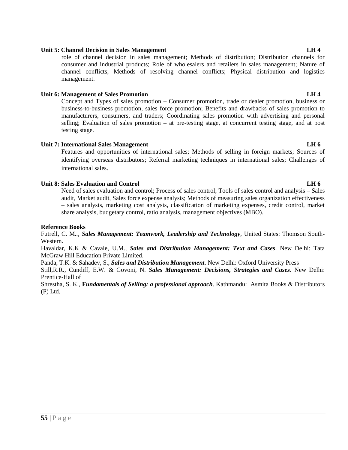### **Unit 5: Channel Decision in Sales Management LH 4**

role of channel decision in sales management; Methods of distribution; Distribution channels for consumer and industrial products; Role of wholesalers and retailers in sales management; Nature of channel conflicts; Methods of resolving channel conflicts; Physical distribution and logistics management.

### **Unit 6: Management of Sales Promotion LH 4**

Concept and Types of sales promotion – Consumer promotion, trade or dealer promotion, business or business-to-business promotion, sales force promotion; Benefits and drawbacks of sales promotion to manufacturers, consumers, and traders; Coordinating sales promotion with advertising and personal selling; Evaluation of sales promotion – at pre-testing stage, at concurrent testing stage, and at post testing stage.

### **Unit 7: International Sales Management LH 6**

Features and opportunities of international sales; Methods of selling in foreign markets; Sources of identifying overseas distributors; Referral marketing techniques in international sales; Challenges of international sales.

### **Unit 8: Sales Evaluation and Control LH 6**

Need of sales evaluation and control; Process of sales control; Tools of sales control and analysis – Sales audit, Market audit, Sales force expense analysis; Methods of measuring sales organization effectiveness – sales analysis, marketing cost analysis, classification of marketing expenses, credit control, market share analysis, budgetary control, ratio analysis, management objectives (MBO).

### **Reference Books**

Futrell, C. M*.., Sales Management: Teamwork, Leadership and Technology*, United States: Thomson South- Western.

Havaldar, K.K & Cavale, U.M., *Sales and Distribution Management: Text and Cases*. New Delhi: Tata McGraw Hill Education Private Limited.

Panda, T.K. & Sahadev, S., *Sales and Distribution Management*. New Delhi: Oxford University Press

Still,R.R., Cundiff, E.W. & Govoni, N. *Sales Management: Decisions, Strategies and Cases*. New Delhi: Prentice-Hall of

Shrestha, S. K., **F***undamentals of Selling: a professional approach*. Kathmandu: Asmita Books & Distributors (P) Ltd.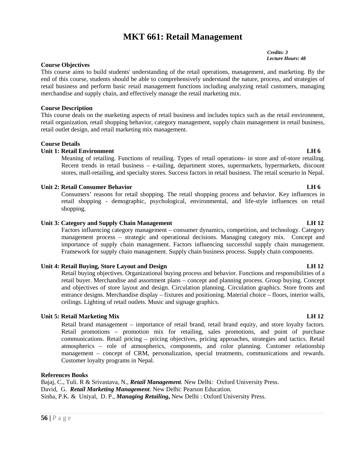# **MKT 661: Retail Management**

*Credits: 3 Lecture Hours: 48*

### **Course Objectives**

This course aims to build students' understanding of the retail operations, management, and marketing. By the end of this course, students should be able to comprehensively understand the nature, process, and strategies of retail business and perform basic retail management functions including analyzing retail customers, managing merchandise and supply chain, and effectively manage the retail marketing mix.

#### **Course Description**

This course deals on the marketing aspects of retail business and includes topics such as the retail environment, retail organization, retail shopping behavior, category management, supply chain management in retail business, retail outlet design, and retail marketing mix management.

#### **Course Details**

#### **Unit 1: Retail Environment LH 6**

Meaning of retailing. Functions of retailing. Types of retail operations- in store and of-store retailing. Recent trends in retail business – e-tailing, department stores, supermarkets, hypermarkets, discount stores, mall-retailing, and specialty stores. Success factors in retail business. The retail scenario in Nepal.

#### **Unit 2: Retail Consumer Behavior LH 6**

Consumers' reasons for retail shopping. The retail shopping process and behavior. Key influences in retail shopping - demographic, psychological, environmental, and life-style influences on retail shopping.

#### **Unit 3: Category and Supply Chain Management LH 12**

Factors influencing category management – consumer dynamics, competition, and technology. Category management process – strategic and operational decisions. Managing category mix. Concept and importance of supply chain management. Factors influencing successful supply chain management. Framework for supply chain management. Supply chain business process. Supply chain components.

#### **Unit 4: Retail Buying, Store Layout and Design LH 12**

Retail buying objectives. Organizational buying process and behavior. Functions and responsibilities of a retail buyer. Merchandise and assortment plans – concept and planning process. Group buying. Concept and objectives of store layout and design. Circulation planning. Circulation graphics. Store fronts and entrance designs. Merchandise display – fixtures and positioning. Material choice – floors, interior walls, ceilings. Lighting of retail outlets. Music and signage graphics.

#### **Unit 5: Retail Marketing Mix LH 12**

Retail brand management – importance of retail brand, retail brand equity, and store loyalty factors. Retail promotions – promotion mix for retailing, sales promotions, and point of purchase communications. Retail pricing – pricing objectives, pricing approaches, strategies and tactics. Retail atmospherics – role of atmospherics, components, and color planning. Customer relationship management – concept of CRM, personalization, special treatments, communications and rewards. Customer loyalty programs in Nepal.

### **References Books**

**Eajaj, C., Tuli. R & Srivastava, N.,** *Retail Management*. New Delhi: Oxford University Press.<br>David, G. *Retail Marketing Management*. New Delhi: Pearson Education.<br>Sinha, P.K. & Uniyal, D. P., *Managing Retailing*, New David, G. *Retail Marketing Management.* New Delhi: Pearson Education. Sinha, P.K. & Uniyal, D. P., *Managing Retailing***,** New Delhi : Oxford University Press.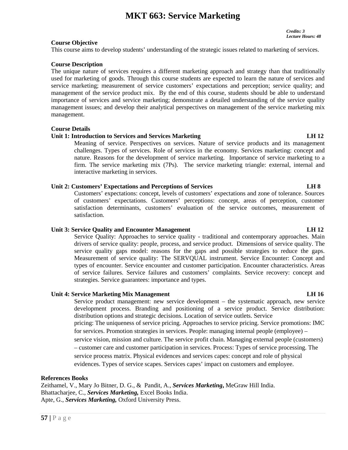# **MKT 663: Service Marketing**

*Credits: 3 Lecture Hours: 48*

### **Course Objective**

This course aims to develop students' understanding of the strategic issues related to marketing of services.

### **Course Description**

The unique nature of services requires a different marketing approach and strategy than that traditionally used for marketing of goods. Through this course students are expected to learn the nature of services and service marketing; measurement of service customers' expectations and perception; service quality; and management of the service product mix. By the end of this course, students should be able to understand importance of services and service marketing; demonstrate a detailed understanding of the service quality management issues; and develop their analytical perspectives on management of the service marketing mix management.

### **Course Details**

### **Unit 1: Introduction to Services and Services Marketing LH 12**

Meaning of service. Perspectives on services. Nature of service products and its management challenges. Types of services. Role of services in the economy. Services marketing: concept and nature. Reasons for the development of service marketing. Importance of service marketing to a firm. The service marketing mix (7Ps). The service marketing triangle: external, internal and interactive marketing in services.

### **Unit 2: Customers' Expectations and Perceptions of Services LH 8**

Customers' expectations: concept, levels of customers' expectations and zone of tolerance. Sources of customers' expectations. Customers' perceptions: concept, areas of perception, customer satisfaction determinants, customers' evaluation of the service outcomes, measurement of satisfaction.

### **Unit 3: Service Quality and Encounter Management LH 12**

Service Quality: Approaches to service quality - traditional and contemporary approaches. Main drivers of service quality: people, process, and service product. Dimensions of service quality. The service quality gaps model: reasons for the gaps and possible strategies to reduce the gaps. Measurement of service quality: The SERVQUAL instrument. Service Encounter: Concept and types of encounter. Service encounter and customer participation. Encounter characteristics. Areas of service failures. Service failures and customers' complaints. Service recovery: concept and strategies. Service guarantees: importance and types.

### **Unit 4: Service Marketing Mix Management LH 16**

Service product management: new service development – the systematic approach, new service development process. Branding and positioning of a service product. Service distribution: distribution options and strategic decisions. Location of service outlets. Service pricing: The uniqueness of service pricing. Approaches to service pricing. Service promotions: IMC for services. Promotion strategies in services. People: managing internal people (employee) – service vision, mission and culture. The service profit chain. Managing external people (customers) – customer care and customer participation in services. Process: Types of service processing. The service process matrix. Physical evidences and services capes: concept and role of physical evidences. Types of service scapes. Services capes' impact on customers and employee.

### **References Books**

**References Books**<br>Zeithamel, V., Mary<br>Bhattacharjee, C., *Se*<br>Apte, G., *Services M*<br>57 | P a g e Zeithamel, V., Mary Jo Bitner, D. G., & Pandit, A., *Services Marketing***,** MeGraw Hill India. Bhattacharjee, C., *Services Marketing,* Excel Books India. Apte, G., *Services Marketing,* Oxford University Press.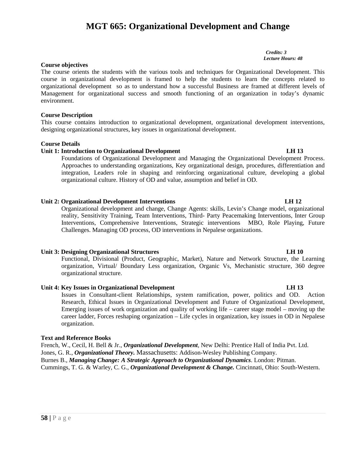# **MGT 665: Organizational Development and Change**

*Credits: 3 Lecture Hours: 48*

#### **Course objectives**

The course orients the students with the various tools and techniques for Organizational Development. This course in organizational development is framed to help the students to learn the concepts related to organizational development so as to understand how a successful Business are framed at different levels of Management for organizational success and smooth functioning of an organization in today's dynamic environment.

#### **Course Description**

This course contains introduction to organizational development, organizational development interventions, designing organizational structures, key issues in organizational development.

#### **Course Details**

#### **Unit 1: Introduction to Organizational Development LH 13**

Foundations of Organizational Development and Managing the Organizational Development Process. Approaches to understanding organizations, Key organizational design, procedures, differentiation and integration, Leaders role in shaping and reinforcing organizational culture, developing a global organizational culture. History of OD and value, assumption and belief in OD.

### **Unit 2: Organizational Development Interventions LH 12**

Organizational development and change, Change Agents: skills, Levin's Change model, organizational reality, Sensitivity Training, Team Interventions, Third- Party Peacemaking Interventions, Inter Group Interventions, Comprehensive Interventions, Strategic interventions MBO, Role Playing, Future Challenges. Managing OD process, OD interventions in Nepalese organizations.

### **Unit 3: Designing Organizational Structures LH 10**

Functional, Divisional (Product, Geographic, Market), Nature and Network Structure, the Learning organization, Virtual/ Boundary Less organization, Organic Vs, Mechanistic structure, 360 degree organizational structure.

### **Unit 4: Key Issues in Organizational Development LH 13**

Issues in Consultant-client Relationships, system ramification, power, politics and OD. Action Research, Ethical Issues in Organizational Development and Future of Organizational Development, Emerging issues of work organization and quality of working life – career stage model – moving up the career ladder, Forces reshaping organization – Life cycles in organization, key issues in OD in Nepalese organization.

#### **Text and Reference Books**

French, W., Cecil, H. Bell & Jr., *Organizational Development*, New Delhi: Prentice Hall of India Pvt. Ltd. Jones, G. R., *Organizational Theory.* Massachusetts: Addison-Wesley Publishing Company. Burnes B., *Managing Change: A Strategic Approach to Organizational Dynamics*. London: Pitman. Cummings, T. G. & Warley, C. G., *Organizational Development & Change.* Cincinnati, Ohio: South-Western.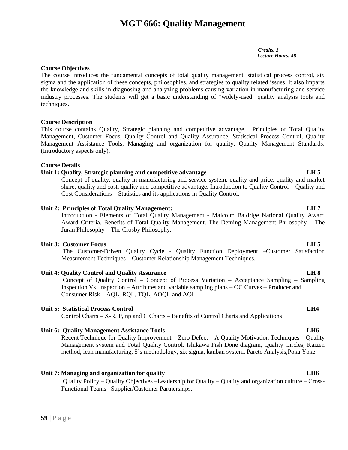# **MGT 666: Quality Management**

*Credits: 3 Lecture Hours: 48*

### **Course Objectives**

The course introduces the fundamental concepts of total quality management, statistical process control, six sigma and the application of these concepts, philosophies, and strategies to quality related issues. It also imparts the knowledge and skills in diagnosing and analyzing problems causing variation in manufacturing and service industry processes. The students will get a basic understanding of "widely-used" quality analysis tools and techniques.

#### **Course Description**

This course contains Quality, Strategic planning and competitive advantage, Principles of Total Quality Management, Customer Focus, Quality Control and Quality Assurance, Statistical Process Control, Quality Management Assistance Tools, Managing and organization for quality, Quality Management Standards: (Introductory aspects only).

#### **Course Details**

### **Unit 1: Quality, Strategic planning and competitive advantage LH 5**

Concept of quality, quality in manufacturing and service system, quality and price, quality and market share, quality and cost, quality and competitive advantage. Introduction to Quality Control – Quality and Cost Considerations – Statistics and its applications in Quality Control.

#### **Unit 2: Principles of Total Quality Management: LH 7**

Introduction - Elements of Total Quality Management - Malcolm Baldrige National Quality Award Award Criteria. Benefits of Total Quality Management. The Deming Management Philosophy – The Juran Philosophy – The Crosby Philosophy.

#### **Unit 3: Customer Focus LH 5**

The Customer-Driven Quality Cycle - Quality Function Deployment –Customer Satisfaction Measurement Techniques – Customer Relationship Management Techniques.

### **Unit 4: Quality Control and Quality Assurance LH 8**

Concept of Quality Control – Concept of Process Variation – Acceptance Sampling – Sampling Inspection Vs. Inspection – Attributes and variable sampling plans – OC Curves – Producer and Consumer Risk – AQL, RQL, TQL, AOQL and AOL.

#### **Unit 5: Statistical Process Control LH4**

Control Charts – X-R, P, np and C Charts – Benefits of Control Charts and Applications

#### **Unit 6: Quality Management Assistance Tools LH6**

Recent Technique for Quality Improvement – Zero Defect – A Quality Motivation Techniques – Quality Management system and Total Quality Control. Ishikawa Fish Done diagram, Quality Circles, Kaizen method, lean manufacturing, 5's methodology, six sigma, kanban system, Pareto Analysis,Poka Yoke

### **Unit 7: Managing and organization for quality LH6**

**Quality Poli**<br>Functional T<br>**59** | P a g e Quality Policy – Quality Objectives –Leadership for Quality – Quality and organization culture – Cross- Functional Teams– Supplier/Customer Partnerships.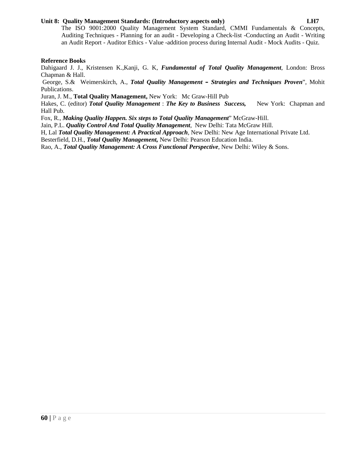### **Unit 8: Quality Management Standards: (Introductory aspects only) LH7**

### **Reference Books**

Dahigaard J. J., Kristensen K.,Kanji, G. K, *Fundamental of Total Quality Management*, London: Bross Chapman & Hall.

George, S.& Weimerskirch, A., *Total Quality Management – Strategies and Techniques Proven*", Mohit Publications.

Juran, J. M., **Total Quality Management,** New York: Mc Graw-Hill Pub

Hakes, C. (editor) *Total Quality Management* : *The Key to Business Success,* New York: Chapman and Hall Pub.

Fox, R., *Making Quality Happen. Six steps to Total Quality Management*" McGraw-Hill.

Jain, P.L. *Quality Control And Total Quality Management*, New Delhi: Tata McGraw Hill.

H, Lal *Total Quality Management: A Practical Approach*, New Delhi: New Age International Private Ltd.

Besterfield, D.H., *Total Quality Management,* New Delhi: Pearson Education India.

Rao, A., *Total Quality Management: A Cross Functional Perspective*, New Delhi: Wiley & Sons.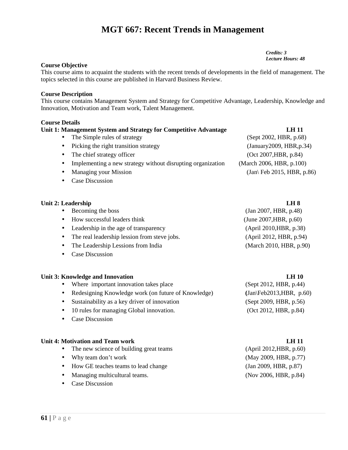# **MGT 667: Recent Trends in Management**

*Credits: 3 Lecture Hours: 48*

### **Course Objective**

This course aims to acquaint the students with the recent trends of developments in the field of management. The topics selected in this course are published in Harvard Business Review.

#### **Course Description**

This course contains Management System and Strategy for Competitive Advantage, Leadership, Knowledge and Innovation, Motivation and Team work, Talent Management.

### **Course Details**

| Unit 1: Management System and Strategy for Competitive Advantage         | <b>LH 11</b>                                 |
|--------------------------------------------------------------------------|----------------------------------------------|
| The Simple rules of strategy                                             | (Sept 2002, HBR, p.68)                       |
| Picking the right transition strategy<br>$\bullet$                       | (January 2009, HBR, p. 34)                   |
| The chief strategy officer                                               | (Oct 2007, HBR, p.84)                        |
| Implementing a new strategy without disrupting organization<br>$\bullet$ | (March 2006, HBR, p.100)                     |
| Managing your Mission<br>$\bullet$                                       | $\langle$ Jan $\rangle$ Feb 2015, HBR, p.86) |
| Case Discussion                                                          |                                              |

#### **Unit 2: Leadership LH 8**

| Becoming the boss<br>$\bullet$                            | (Jan 2007, HBR, p.48)     |
|-----------------------------------------------------------|---------------------------|
| How successful leaders think<br>$\bullet$                 | (June 2007, HBR, $p.60$ ) |
| • Leadership in the age of transparency                   | (April 2010, HBR, p.38)   |
| The real leadership lession from steve jobs.<br>$\bullet$ | (April 2012, HBR, p.94)   |
| The Leadership Lessions from India<br>$\bullet$           | (March 2010, HBR, p.90)   |

• Case Discussion

#### **Unit 3: Knowledge and Innovation LH 10**

- Where important innovation takes place (Sept 2012, HBR, p.44)
- Redesigning Knowledge work (on future of Knowledge) **(**Jan\Feb2013,HBR, p.60)
- Sustainability as a key driver of innovation (Sept 2009, HBR, p.56)
- 10 rules for managing Global innovation. (Oct 2012, HBR, p.84)
- Case Discussion

#### **Unit 4: Motivation and Team work LH 11**

- The new science of building great teams
- $\bullet$  Why team don't work
- How GE teaches teams to lead change
- Managing multicultural teams.
- **61** | P a g e • Case Discussion

| (April 2012, HBR, p.60) |
|-------------------------|
| (May 2009, HBR, p.77)   |
| (Jan 2009, HBR, p.87)   |
| (Nov 2006, HBR, p.84)   |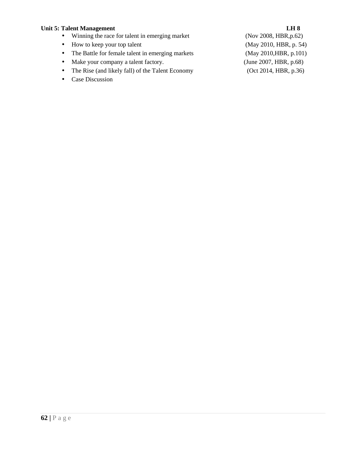- Unit 5: Talent Management<br>
 Winning the race for talent in emerging market (Nov 2008, HBR, p.62)  $\bullet$  Winning the race for talent in emerging market
	- How to keep your top talent (May 2010, HBR, p. 54)
	- The Battle for female talent in emerging markets (May 2010, HBR, p.101)
	- Make your company a talent factory. (June 2007, HBR, p.68)
	- The Rise (and likely fall) of the Talent Economy (Oct 2014, HBR, p.36)
	- Case Discussion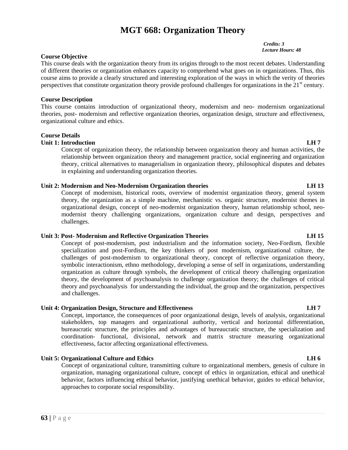# **MGT 668: Organization Theory**

#### *Credits: 3 Lecture Hours: 48*

#### **Course Objective**

This course deals with the organization theory from its origins through to the most recent debates. Understanding of different theories or organization enhances capacity to comprehend what goes on in organizations. Thus, this course aims to provide a clearly structured and interesting exploration of the ways in which the verity of theories perspectives that constitute organization theory provide profound challenges for organizations in the  $21<sup>st</sup>$  century.

#### **Course Description**

This course contains introduction of organizational theory, modernism and neo- modernism organizational theories, post- modernism and reflective organization theories, organization design, structure and effectiveness, organizational culture and ethics.

### **Course Details**

### **Unit 1: Introduction LH 7**

Concept of organization theory, the relationship between organization theory and human activities, the relationship between organization theory and management practice, social engineering and organization theory, critical alternatives to managerialism in organization theory, philosophical disputes and debates in explaining and understanding organization theories.

### **Unit 2: Modernism and Neo-Modernism Organization theories LH 13**

Concept of modernism, historical roots, overview of modernist organization theory, general system theory, the organization as a simple machine, mechanistic vs. organic structure, modernist themes in organizational design, concept of neo-modernist organization theory, human relationship school, neo modernist theory challenging organizations, organization culture and design, perspectives and challenges.

### **Unit 3: Post- Modernism and Reflective Organization Theories LH 15**

Concept of post-modernism, post industrialism and the information society, Neo-Fordism, flexible specialization and post-Fordism, the key thinkers of post modernism, organizational culture, the challenges of post-modernism to organizational theory, concept of reflective organization theory, symbolic interactionism, ethno methodology, developing a sense of self in organizations, understanding organization as culture through symbols, the development of critical theory challenging organization theory, the development of psychoanalysis to challenge organization theory; the challenges of critical theory and psychoanalysis for understanding the individual, the group and the organization, perspectives and challenges.

### **Unit 4: Organization Design, Structure and Effectiveness LH 7**

Concept, importance, the consequences of poor organizational design, levels of analysis, organizational stakeholders, top managers and organizational authority, vertical and horizontal differentiation, bureaucratic structure, the principles and advantages of bureaucratic structure, the specialization and coordination- functional, divisional, network and matrix structure measuring organizational effectiveness, factor affecting organizational effectiveness.

### **Unit 5: Organizational Culture and Ethics LH 6**

**63** | P a g e Concept of organizational culture, transmitting culture to organizational members, genesis of culture in organization, managing organizational culture, concept of ethics in organization, ethical and unethical behavior, factors influencing ethical behavior, justifying unethical behavior, guides to ethical behavior, approaches to corporate social responsibility.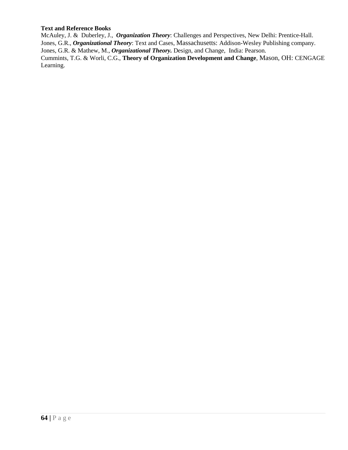### **Text and Reference Books**

McAuley, J. & Duberley, J., *Organization Theory*: Challenges and Perspectives, New Delhi: Prentice-Hall. Jones, G.R., *Organizational Theory*: Text and Cases, Massachusetts: Addison-Wesley Publishing company. Jones, G.R. & Mathew, M., *Organizational Theory.* Design, and Change, India: Pearson. Cummints, T.G. & Worli, C.G., **Theory of Organization Development and Change**, Mason, OH: CENGAGE Learning.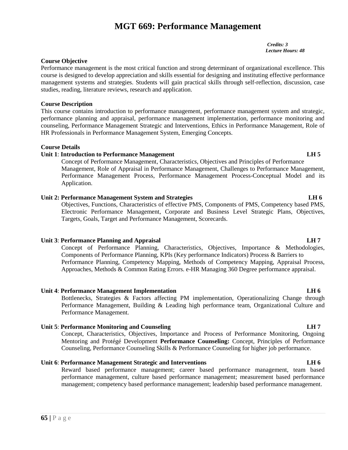# **MGT 669: Performance Management**

*Credits: 3 Lecture Hours: 48*

### **Course Objective**

Performance management is the most critical function and strong determinant of organizational excellence. This course is designed to develop appreciation and skills essential for designing and instituting effective performance management systems and strategies. Students will gain practical skills through self-reflection, discussion, case studies, reading, literature reviews, research and application.

### **Course Description**

This course contains introduction to performance management, performance management system and strategic, performance planning and appraisal, performance management implementation, performance monitoring and counseling, Performance Management Strategic and Interventions, Ethics in Performance Management, Role of HR Professionals in Performance Management System, Emerging Concepts.

### **Course Details**

### **Unit 1**: **Introduction to Performance Management LH 5**

Concept of Performance Management, Characteristics, Objectives and Principles of Performance Management, Role of Appraisal in Performance Management, Challenges to Performance Management, Performance Management Process, Performance Management Process-Conceptual Model and its Application.

### **Unit 2: Performance Management System and Strategies LH 6**

Objectives, Functions, Characteristics of effective PMS, Components of PMS, Competency based PMS, Electronic Performance Management, Corporate and Business Level Strategic Plans, Objectives, Targets, Goals, Target and Performance Management, Scorecards.

### **Unit 3**: **Performance Planning and Appraisal LH 7**

Concept of Performance Planning, Characteristics, Objectives, Importance & Methodologies, Components of Performance Planning, KPIs (Key performance Indicators) Process & Barriers to Performance Planning, Competency Mapping, Methods of Competency Mapping, Appraisal Process, Approaches, Methods & Common Rating Errors. e-HR Managing 360 Degree performance appraisal.

### **Unit 4**: **Performance Management Implementation LH 6**

Bottlenecks, Strategies & Factors affecting PM implementation, Operationalizing Change through Performance Management, Building & Leading high performance team, Organizational Culture and Performance Management.

### **Unit 5**: **Performance Monitoring and Counseling LH 7**

Concept, Characteristics, Objectives, Importance and Process of Performance Monitoring, Ongoing Mentoring and Protégé Development **Performance Counseling:** Concept, Principles of Performance Counseling, Performance Counseling Skills & Performance Counseling for higher job performance.

### **Unit 6**: **Performance Management Strategic and Interventions LH 6**

**65** | P a g e Reward based performance management; career based performance management, team based performance management, culture based performance management; measurement based performance management; competency based performance management; leadership based performance management.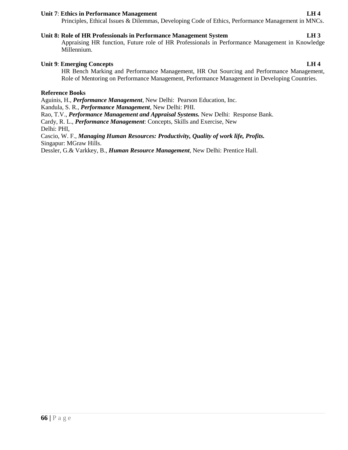#### **Unit 7**: **Ethics in Performance Management LH 4**

Principles, Ethical Issues & Dilemmas, Developing Code of Ethics, Performance Management in MNCs.

### **Unit 8: Role of HR Professionals in Performance Management System LH 3**

Appraising HR function, Future role of HR Professionals in Performance Management in Knowledge Millennium.

### **Unit 9**: **Emerging Concepts LH 4**

HR Bench Marking and Performance Management, HR Out Sourcing and Performance Management, Role of Mentoring on Performance Management, Performance Management in Developing Countries.

### **Reference Books**

Aguinis, H., *Performance Management*, New Delhi: Pearson Education, Inc. Kandula, S. R., *Performance Management*, New Delhi: PHI. Rao, T.V., *Performance Management and Appraisal Systems.* New Delhi: Response Bank. Cardy, R. L., *Performance Management*: Concepts, Skills and Exercise, New Delhi: PHI, Cascio, W. F., *Managing Human Resources: Productivity, Quality of work life, Profits.* Singapur: MGraw Hills.

Dessler, G.& Varkkey, B., *Human Resource Management*, New Delhi: Prentice Hall.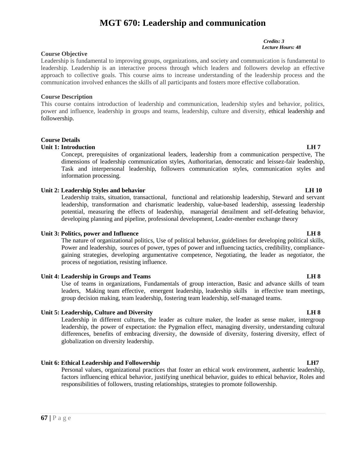# **MGT 670: Leadership and communication**

#### **Course Objective**

Leadership is fundamental to improving groups, organizations, and society and communication is fundamental to leadership. Leadership is an interactive process through which leaders and followers develop an effective approach to collective goals. This course aims to increase understanding of the leadership process and the communication involved enhances the skills of all participants and fosters more effective collaboration.

#### **Course Description**

This course contains introduction of leadership and communication, leadership styles and behavior, politics, power and influence, leadership in groups and teams, leadership, culture and diversity, ethical leadership and followership.

### **Course Details**

### **Unit 1: Introduction LH** 7

Concept, prerequisites of organizational leaders, leadership from a communication perspective, The dimensions of leadership communication styles, Authoritarian, democratic and leissez-fair leadership, Task and interpersonal leadership, followers communication styles, communication styles and information processing.

### **Unit 2: Leadership Styles and behavior LH 10**

Leadership traits, situation, transactional, functional and relationship leadership, Steward and servant leadership, transformation and charismatic leadership, value-based leadership, assessing leadership potential, measuring the effects of leadership, managerial derailment and self-defeating behavior, developing planning and pipeline, professional development, Leader-member exchange theory

### **Unit 3: Politics, power and Influence LH 8**

The nature of organizational politics, Use of political behavior, guidelines for developing political skills, Power and leadership, sources of power, types of power and influencing tactics, credibility, compliance gaining strategies, developing argumentative competence, Negotiating, the leader as negotiator, the process of negotiation, resisting influence.

### **Unit 4: Leadership in Groups and Teams LH 8**

Use of teams in organizations, Fundamentals of group interaction, Basic and advance skills of team leaders, Making team effective, emergent leadership, leadership skills in effective team meetings, group decision making, team leadership, fostering team leadership, self-managed teams.

### **Unit 5: Leadership, Culture and Diversity LH 8**

Leadership in different cultures, the leader as culture maker, the leader as sense maker, intergroup leadership, the power of expectation: the Pygmalion effect, managing diversity, understanding cultural differences, benefits of embracing diversity, the downside of diversity, fostering diversity, effect of globalization on diversity leadership.

### **Unit 6: Ethical Leadership and Followership LH7**

**factors** influe<br>responsibiliti<br>**67** | P a g e Personal values, organizational practices that foster an ethical work environment, authentic leadership, factors influencing ethical behavior, justifying unethical behavior, guides to ethical behavior, Roles and responsibilities of followers, trusting relationships, strategies to promote followership.

#### *Credits: 3 Lecture Hours: 48*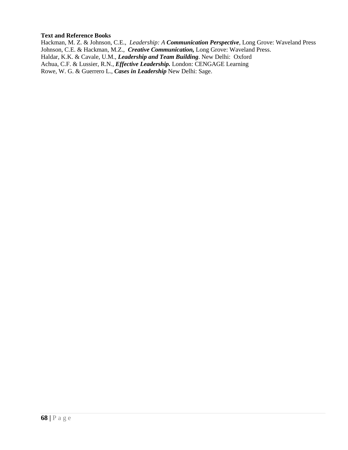### **Text and Reference Books**

Hackman, M. Z. & Johnson, C.E., *Leadership: A Communication Perspective*, Long Grove: Waveland Press Johnson, C.E. & Hackman, M.Z., *Creative Communication,* Long Grove: Waveland Press. Haldar, K.K. & Cavale, U.M., *Leadership and Team Building*. New Delhi: Oxford Achua, C.F. & Lussier, R.N., *Effective Leadership.* London: CENGAGE Learning Rowe, W. G. & Guerrero L., *Cases in Leadership* New Delhi: Sage.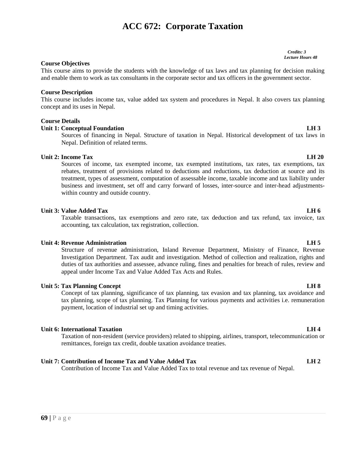# **69 |** P a g e

# **ACC 672: Corporate Taxation**

#### *Credits: 3 Lecture Hours 48*

### **Course Objectives**

This course aims to provide the students with the knowledge of tax laws and tax planning for decision making and enable them to work as tax consultants in the corporate sector and tax officers in the government sector.

### **Course Description**

This course includes income tax, value added tax system and procedures in Nepal. It also covers tax planning concept and its uses in Nepal.

#### **Course Details**

#### **Unit 1: Conceptual Foundation LH 3**

Sources of financing in Nepal. Structure of taxation in Nepal. Historical development of tax laws in Nepal. Definition of related terms.

#### **Unit 2: Income Tax LH 20**

Sources of income, tax exempted income, tax exempted institutions, tax rates, tax exemptions, tax rebates, treatment of provisions related to deductions and reductions, tax deduction at source and its treatment, types of assessment, computation of assessable income, taxable income and tax liability under business and investment, set off and carry forward of losses, inter-source and inter-head adjustments within country and outside country.

#### **Unit 3: Value Added Tax LH 6**

Taxable transactions, tax exemptions and zero rate, tax deduction and tax refund, tax invoice, tax accounting, tax calculation, tax registration, collection.

#### **Unit 4: Revenue Administration LH 5**

Structure of revenue administration, Inland Revenue Department, Ministry of Finance, Revenue Investigation Department. Tax audit and investigation. Method of collection and realization, rights and duties of tax authorities and assessee, advance ruling, fines and penalties for breach of rules, review and appeal under Income Tax and Value Added Tax Acts and Rules.

### **Unit 5: Tax Planning Concept LH 8**

Concept of tax planning, significance of tax planning, tax evasion and tax planning, tax avoidance and tax planning, scope of tax planning. Tax Planning for various payments and activities i.e. remuneration payment, location of industrial set up and timing activities.

### **Unit 6: International Taxation LH 4**

Taxation of non-resident (service providers) related to shipping, airlines, transport, telecommunication or remittances, foreign tax credit, double taxation avoidance treaties.

### **Unit 7: Contribution of Income Tax and Value Added Tax LH 2**

Contribution of Income Tax and Value Added Tax to total revenue and tax revenue of Nepal.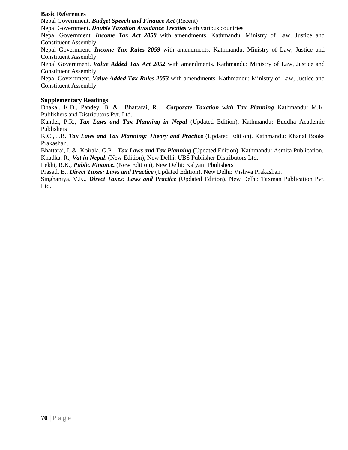### **Basic References**

Nepal Government. *Budget Speech and Finance Act* (Recent)

Nepal Government. *Double Taxation Avoidance Treaties* with various countries

Nepal Government. *Income Tax Act 2058* with amendments. Kathmandu: Ministry of Law, Justice and Constituent Assembly

Nepal Government. *Income Tax Rules 2059* with amendments. Kathmandu: Ministry of Law, Justice and Constituent Assembly

Nepal Government. *Value Added Tax Act 2052* with amendments. Kathmandu: Ministry of Law, Justice and Constituent Assembly

Nepal Government. *Value Added Tax Rules 2053* with amendments. Kathmandu: Ministry of Law, Justice and Constituent Assembly

### **Supplementary Readings**

Dhakal, K.D., Pandey, B. & Bhattarai, R., *Corporate Taxation with Tax Planning* Kathmandu: M.K. Publishers and Distributors Pvt. Ltd.

Kandel, P.R., *Tax Laws and Tax Planning in Nepal* (Updated Edition). Kathmandu: Buddha Academic Publishers

K.C., J.B. *Tax Laws and Tax Planning: Theory and Practice* (Updated Edition). Kathmandu: Khanal Books Prakashan.

Bhattarai, I. & Koirala, G.P., *Tax Laws and Tax Planning* (Updated Edition). Kathmandu: Asmita Publication. Khadka, R., *Vat in Nepal*. (New Edition), New Delhi: UBS Publisher Distributors Ltd.

Lekhi, R.K., *Public Finance.* (New Edition), New Delhi: Kalyani Pbulishers

Prasad, B., *Direct Taxes: Laws and Practice* (Updated Edition). New Delhi: Vishwa Prakashan.

Singhaniya, V.K., *Direct Taxes: Laws and Practice* (Updated Edition). New Delhi: Taxman Publication Pvt. Ltd.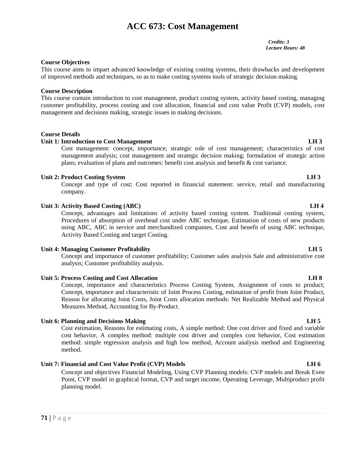# **ACC 673: Cost Management**

*Credits: 3 Lecture Hours: 48*

### **Course Objectives**

This course aims to impart advanced knowledge of existing costing systems, their drawbacks and development of improved methods and techniques, so as to make costing systems tools of strategic decision making.

#### **Course Description**

This course contain introduction to cost management, product costing system, activity based costing, managing customer profitability, process costing and cost allocation, financial and cost value Profit (CVP) models, cost management and decisions making, strategic issues in making decisions.

#### **Course Details**

#### **Unit 1: Introduction to Cost Management LH 3**

Cost management: concept, importance; strategic role of cost management; characteristics of cost management analysis; cost management and strategic decision making; formulation of strategic action plans; evaluation of plans and outcomes: benefit cost analysis and benefit & cost variance.

#### **Unit 2: Product Costing System LH 3**

Concept and type of cost; Cost reported in financial statement: service, retail and manufacturing company.

#### **Unit 3: Activity Based Costing (ABC) LH 4**

Concept, advantages and limitations of activity based costing system. Traditional costing system, Procedures of absorption of overhead cost under ABC technique, Estimation of costs of new products using ABC, ABC in service and merchandized companies, Cost and benefit of using ABC technique, Activity Based Costing and target Costing.

#### **Unit 4: Managing Customer Profitability LH 5**

Concept and importance of customer profitability; Customer sales analysis Sale and administrative cost analysis; Customer profitability analysis.

### **Unit 5: Process Costing and Cost Allocation LH 8**

Concept, importance and characteristics Process Costing System, Assignment of costs to product; Concept, importance and characteristic of Joint Process Costing, estimation of profit from Joint Product, Reason for allocating Joint Costs, Joint Costs allocation methods: Net Realizable Method and Physical Measures Method, Accounting for By-Product.

#### **Unit 6: Planning and Decisions Making LH 5**

Cost estimation, Reasons for estimating costs, A simple method: One cost driver and fixed and variable cost behavior, A complex method: multiple cost driver and complex cost behavior, Cost estimation method: simple regression analysis and high low method, Account analysis method and Engineering method.

### **Unit 7: Financial and Cost Value Profit (CVP) Models LH 6**

**Point, CVP r**<br>planning mo<br>**71** | P a g e Concept and objectives Financial Modeling, Using CVP Planning models: CVP models and Break Even Point, CVP model in graphical format, CVP and target income, Operating Leverage, Multiproduct profit planning model.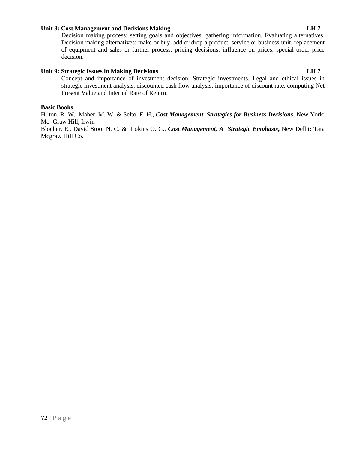### **Unit 8: Cost Management and Decisions Making LH 7**

Decision making process: setting goals and objectives, gathering information, Evaluating alternatives, Decision making alternatives: make or buy, add or drop a product, service or business unit, replacement of equipment and sales or further process, pricing decisions: influence on prices, special order price decision.

# **Unit 9: Strategic Issues in Making Decisions LH 7**

Concept and importance of investment decision, Strategic investments, Legal and ethical issues in strategic investment analysis, discounted cash flow analysis: importance of discount rate, computing Net Present Value and Internal Rate of Return.

#### **Basic Books**

Hilton, R. W., Maher, M. W. & Selto, F. H., *Cost Management, Strategies for Business Decisions,* New York: Mc- Graw Hill, Irwin

Blocher, E., David Stoot N. C. & Lokins O. G., *Cost Management, A Strategic Emphasis***,** New Delhi**:** Tata Mcgraw Hill Co.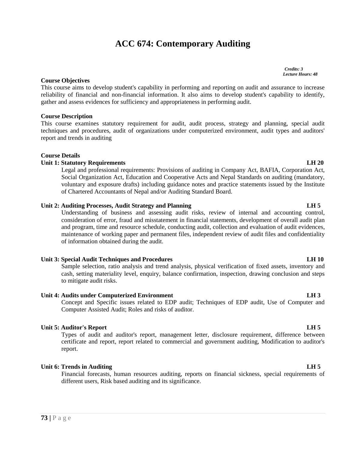# **ACC 674: Contemporary Auditing**

*Credits: 3 Lecture Hours: 48*

#### **Course Objectives**

This course aims to develop student's capability in performing and reporting on audit and assurance to increase reliability of financial and non-financial information. It also aims to develop student's capability to identify, gather and assess evidences for sufficiency and appropriateness in performing audit.

#### **Course Description**

This course examines statutory requirement for audit, audit process, strategy and planning, special audit techniques and procedures, audit of organizations under computerized environment, audit types and auditors' report and trends in auditing

#### **Course Details**

#### **Unit 1: Statutory Requirements LH 20**

Legal and professional requirements: Provisions of auditing in Company Act, BAFIA, Corporation Act, Social Organization Act, Education and Cooperative Acts and Nepal Standards on auditing (mandatory, voluntary and exposure drafts) including guidance notes and practice statements issued by the Institute of Chartered Accountants of Nepal and/or Auditing Standard Board.

#### **Unit 2: Auditing Processes, Audit Strategy and Planning LH 5**

Understanding of business and assessing audit risks, review of internal and accounting control, consideration of error, fraud and misstatement in financial statements, development of overall audit plan and program, time and resource schedule, conducting audit, collection and evaluation of audit evidences, maintenance of working paper and permanent files, independent review of audit files and confidentiality of information obtained during the audit.

#### **Unit 3: Special Audit Techniques and Procedures LH 10**

Sample selection, ratio analysis and trend analysis, physical verification of fixed assets, inventory and cash, setting materiality level, enquiry, balance confirmation, inspection, drawing conclusion and steps to mitigate audit risks.

#### **Unit 4: Audits under Computerized Environment LH 3**

Concept and Specific issues related to EDP audit; Techniques of EDP audit, Use of Computer and Computer Assisted Audit; Roles and risks of auditor.

#### **Unit 5: Auditor's Report LH 5**

Types of audit and auditor's report, management letter, disclosure requirement, difference between certificate and report, report related to commercial and government auditing, Modification to auditor's report.

### **Unit 6: Trends in Auditing LH 5**

**73 |** P a g e Financial forecasts, human resources auditing, reports on financial sickness, special requirements of different users, Risk based auditing and its significance.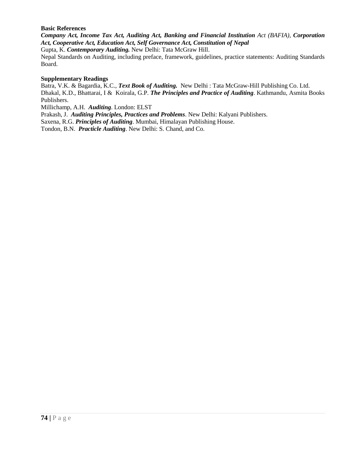# **Basic References**

*Company Act, Income Tax Act, Auditing Act, Banking and Financial Institution Act (BAFIA), Corporation Act, Cooperative Act, Education Act, Self Governance Act, Constitution of Nepal*

Gupta, K. *Contemporary Auditing.* New Delhi: Tata McGraw Hill.

Nepal Standards on Auditing, including preface, framework, guidelines, practice statements: Auditing Standards Board.

## **Supplementary Readings**

Batra, V.K. & Bagardia, K.C., *Text Book of Auditing.* New Delhi : Tata McGraw-Hill Publishing Co. Ltd. Dhakal, K.D., Bhattarai, I & Koirala, G.P. *The Principles and Practice of Auditing*. Kathmandu, Asmita Books Publishers.

Millichamp, A.H. *Auditing*. London: ELST

Prakash, J. *Auditing Principles, Practices and Problems*. New Delhi: Kalyani Publishers.

Saxena, R.G. *Principles of Auditing*. Mumbai, Himalayan Publishing House.

Tondon, B.N. *Practicle Auditing*. New Delhi: S. Chand, and Co.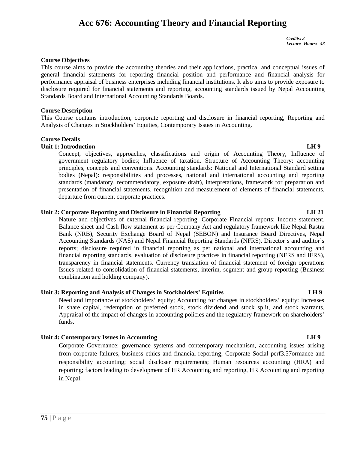# **Acc 676: Accounting Theory and Financial Reporting**

*Credits: 3 Lecture Hours: 48*

#### **Course Objectives**

This course aims to provide the accounting theories and their applications, practical and conceptual issues of general financial statements for reporting financial position and performance and financial analysis for performance appraisal of business enterprises including financial institutions. It also aims to provide exposure to disclosure required for financial statements and reporting, accounting standards issued by Nepal Accounting Standards Board and International Accounting Standards Boards.

#### **Course Description**

This Course contains introduction, corporate reporting and disclosure in financial reporting, Reporting and Analysis of Changes in Stockholders' Equities, Contemporary Issues in Accounting.

### **Course Details**

# **Unit 1: Introduction LH 9**

Concept, objectives, approaches, classifications and origin of Accounting Theory, Influence of government regulatory bodies; Influence of taxation. Structure of Accounting Theory: accounting principles, concepts and conventions. Accounting standards: National and International Standard setting bodies (Nepal): responsibilities and processes, national and international accounting and reporting standards (mandatory, recommendatory, exposure draft), interpretations, framework for preparation and presentation of financial statements, recognition and measurement of elements of financial statements, departure from current corporate practices.

# **Unit 2: Corporate Reporting and Disclosure in Financial Reporting LH 21**

Nature and objectives of external financial reporting. Corporate Financial reports: Income statement, Balance sheet and Cash flow statement as per Company Act and regulatory framework like Nepal Rastra Bank (NRB), Security Exchange Board of Nepal (SEBON) and Insurance Board Directives, Nepal Accounting Standards (NAS) and Nepal Financial Reporting Standards (NFRS). Director's and auditor's reports; disclosure required in financial reporting as per national and international accounting and financial reporting standards, evaluation of disclosure practices in financial reporting (NFRS and IFRS), transparency in financial statements. Currency translation of financial statement of foreign operations Issues related to consolidation of financial statements, interim, segment and group reporting (Business combination and holding company).

### **Unit 3: Reporting and Analysis of Changes in Stockholders' Equities LH 9**

Need and importance of stockholders' equity; Accounting for changes in stockholders' equity: Increases in share capital, redemption of preferred stock, stock dividend and stock split, and stock warrants, Appraisal of the impact of changes in accounting policies and the regulatory framework on shareholders' funds.

# **Unit 4: Contemporary Issues in Accounting LH 9**

Corporate Governance: governance systems and contemporary mechanism, accounting issues arising from corporate failures, business ethics and financial reporting; Corporate Social perf3.57ormance and responsibility accounting; social discloser requirements; Human resources accounting (HRA) and reporting; factors leading to development of HR Accounting and reporting, HR Accounting and reporting in Nepal.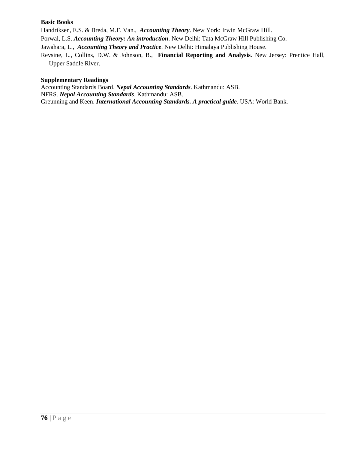## **Basic Books**

Handriksen, E.S. & Breda, M.F. Van., *Accounting Theory*. New York: Irwin McGraw Hill.

Porwal, L.S. *Accounting Theory: An introduction*. New Delhi: Tata McGraw Hill Publishing Co.

Jawahara, L., *Accounting Theory and Practice*. New Delhi: Himalaya Publishing House.

Revsine, L., Collins, D.W. & Johnson, B., **Financial Reporting and Analysis**. New Jersey: Prentice Hall, Upper Saddle River.

## **Supplementary Readings**

Accounting Standards Board. *Nepal Accounting Standards*. Kathmandu: ASB. NFRS. *Nepal Accounting Standards*. Kathmandu: ASB. Greunning and Keen. *International Accounting Standards. A practical guide*. USA: World Bank.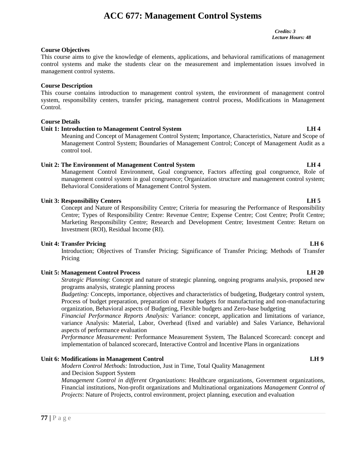# **ACC 677: Management Control Systems**

*Credits: 3 Lecture Hours: 48*

## **Course Objectives**

This course aims to give the knowledge of elements, applications, and behavioral ramifications of management control systems and make the students clear on the measurement and implementation issues involved in management control systems.

## **Course Description**

This course contains introduction to management control system, the environment of management control system, responsibility centers, transfer pricing, management control process, Modifications in Management Control.

# **Course Details**

# **Unit 1: Introduction to Management Control System LH 4**

Meaning and Concept of Management Control System; Importance, Characteristics, Nature and Scope of Management Control System; Boundaries of Management Control; Concept of Management Audit as a control tool.

### **Unit 2: The Environment of Management Control System LH 4**

Management Control Environment, Goal congruence, Factors affecting goal congruence, Role of management control system in goal congruence; Organization structure and management control system; Behavioral Considerations of Management Control System.

# **Unit 3: Responsibility Centers LH 5**

Concept and Nature of Responsibility Centre; Criteria for measuring the Performance of Responsibility Centre; Types of Responsibility Centre: Revenue Centre; Expense Centre; Cost Centre; Profit Centre; Marketing Responsibility Centre; Research and Development Centre; Investment Centre: Return on Investment (ROI), Residual Income (RI).

### **Unit 4: Transfer Pricing LH 6**

Introduction; Objectives of Transfer Pricing; Significance of Transfer Pricing; Methods of Transfer Pricing

# **Unit 5: Management Control Process LH 20**

*Strategic Planning*: Concept and nature of strategic planning, ongoing programs analysis, proposed new programs analysis, strategic planning process

*Budgeting:* Concepts, importance, objectives and characteristics of budgeting, Budgetary control system, Process of budget preparation, preparation of master budgets for manufacturing and non-manufacturing organization, Behavioral aspects of Budgeting, Flexible budgets and Zero-base budgeting

*Financial Performance Reports Analysis:* Variance: concept, application and limitations of variance, variance Analysis: Material, Labor, Overhead (fixed and variable) and Sales Variance, Behavioral aspects of performance evaluation

*Performance Measurement:* Performance Measurement System, The Balanced Scorecard: concept and implementation of balanced scorecard, Interactive Control and Incentive Plans in organizations

### **Unit 6: Modifications in Management Control LH 9**

*Modern Control Methods:* Introduction, Just in Time*,* Total Quality Management and Decision Support System

*Managemeni*<br>Financial ins<br>*Projects*: Na<br>**77** | P a g e *Management Control in different Organizations*: Healthcare organizations, Government organizations, Financial institutions, Non-profit organizations and Multinational organizations *Management Control of Projects*: Nature of Projects, control environment, project planning, execution and evaluation